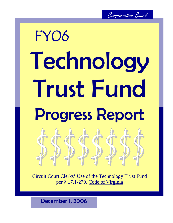# Technology Trust Fund Progress Report FY06

Circuit Court Clerks' Use of the Technology Trust Fund per § 17.1-279, Code of Virginia

December 1, 2006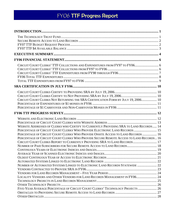| CIRCUIT COURT CLERKS' TTF COLLECTIONS AND EXPENDITURES FROM FY97 TO FY06 6             |  |
|----------------------------------------------------------------------------------------|--|
|                                                                                        |  |
|                                                                                        |  |
|                                                                                        |  |
|                                                                                        |  |
|                                                                                        |  |
|                                                                                        |  |
|                                                                                        |  |
| CIRCUIT COURT CLERKS NOT RETURNING THE SRA CERTIFICATION FORM BY JULY 19, 2006 10      |  |
|                                                                                        |  |
|                                                                                        |  |
|                                                                                        |  |
|                                                                                        |  |
|                                                                                        |  |
| WEBSITE ADDRESSES OF CLERKS WHO CERTIFY TO CURRENTLY PROVIDING SRA TO LAND RECORDS 14  |  |
| PERCENTAGE OF CIRCUIT COURT CLERKS WHO PROVIDE ELECTRONIC LAND RECORDS  15             |  |
| PERCENTAGE OF CIRCUIT COURT CLERKS WHO PROVIDE ONSITE ACCESS TO LAND RECORDS  16       |  |
| PERCENTAGE OF CIRCUIT COURT CLERKS WHO PROVIDE SECURE REMOTE ACCESS TO LAND RECORDS 16 |  |
| CIRCUIT COURT CLERKS REPORT TO CURRENTLY PROVIDING SRA TO LAND RECORDS 17              |  |
| NUMBER OF PAID SUBSCRIBERS FOR SECURE REMOTE ACCESS TO LAND RECORDS 18                 |  |
|                                                                                        |  |
|                                                                                        |  |
|                                                                                        |  |
|                                                                                        |  |
| NUMBER OF AUTOMATED SYSTEMS LINKED TO ELECTRONIC LAND RECORDS STATEWIDE  22            |  |
|                                                                                        |  |
|                                                                                        |  |
| LOCALITY VENDORS AND OTHER VENDORS FOR LAND RECORDS MANAGEMENT IN FY06 24              |  |
|                                                                                        |  |
|                                                                                        |  |
| FIVE-YEAR AVERAGE PERCENTAGE OF CIRCUIT COURT CLERKS' TECHNOLOGY PROJECTS  26          |  |
|                                                                                        |  |
|                                                                                        |  |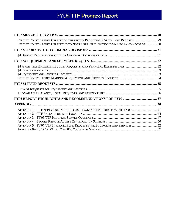| CIRCUIT COURT CLERKS CERTIFY TO CURRENTLY PROVIDING SRA TO LAND RECORDS 29<br>CIRCUIT COURT CLERKS CERTIFYING TO NOT CURRENTLY PROVIDING SRA TO LAND RECORDS  30 |  |
|------------------------------------------------------------------------------------------------------------------------------------------------------------------|--|
|                                                                                                                                                                  |  |
|                                                                                                                                                                  |  |
|                                                                                                                                                                  |  |
|                                                                                                                                                                  |  |
|                                                                                                                                                                  |  |
|                                                                                                                                                                  |  |
|                                                                                                                                                                  |  |
|                                                                                                                                                                  |  |
| APPENDIX 1 - TTF NON-GENERAL FUND CASH TRANSACTIONS FROM FY97 TO FY06  41<br>APPENDIX 5-FY07 TTF \$4 AND \$1 FUND REQUESTS FOR EQUIPMENT AND SERVICES  52        |  |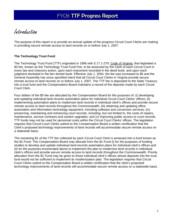<span id="page-3-0"></span>Introduction

The purpose of this report is to provide an annual update of the progress Circuit Court Clerks are making in providing secure remote access to land records on or before July 1, 2007.

#### **The Technology Trust Fund**

The Technology Trust Fund (TTF) originated in 1996 with § 17.1-279, Code of Virginia, that legislated a \$3 fee, known as the Technology Trust Fund Fee, to be assessed by the Clerk of each Circuit Court in every law and chancery action, upon each instrument recorded in the deed book, and upon each judgment docketed in the lien docket book. Effective July 1, 2004, the fee was increased to \$5 and the General Assembly has since specified intent that all Circuit Court Clerks in Virginia provide secure remote access to land records on or before July 1, 2007. The TTF fee is deposited to the State Treasury into a trust fund and the Compensation Board maintains a record of the deposits made by each Circuit Court Clerk.

Four dollars of the \$5 fee are allocated by the Compensation Board for the purposes of: (i) developing and updating individual land records automation plans for individual Circuit Court Clerks' offices; (ii) implementing automation plans to modernize land records in individual clerk's offices and provide secure remote access to land records throughout the Commonwealth; (iii) obtaining and updating office automation and information technology equipment, including software and conversion services; (iv) preserving, maintaining and enhancing court records, including, but not limited to, the costs of repairs, maintenance, service contracts and system upgrades; and (v) improving public access to court records. TTF funds may not be used for personnel costs within the Circuit Court Clerks' offices. The legislation requires that Circuit Court Clerks submit to the Compensation Board a written certification that the Clerk's proposed technology improvements of land records will accommodate secure remote access on a statewide basis.

The remaining \$1 of the TTF fee collected by each Circuit Court Clerk is amassed into a fund known as the \$1 Fund. The Compensation Board may allocate from the \$1 Fund (i) for the purposes of funding studies to develop and update individual land-records automation plans for individual clerk's offices and (ii) for the purposes enumerated above to implement the plan to modernize land records in individual clerk's offices and provide secure remote access to land records throughout the Commonwealth. Priority allocation from the \$1 Fund may be given to those individual clerk's offices whose deposits into the trust fund would not be sufficient to implement its modernization plan. The legislation requires that Circuit Court Clerks submit to the Compensation Board a written certification that the clerk's proposed technology improvements of land records will accommodate secure remote access on a statewide basis.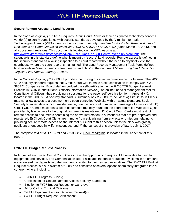#### <span id="page-4-0"></span>**Secure Remote Access to Land Records**

In the Code of Virginia, § 17.1-279 requires Circuit Court Clerks or their designated technology services vendor(s) to certify compliance with security standards developed by the Virginia Information Technologies Agency (VITA) found in the document *Security Standard for Restricted Remote Access to Documents on Court-Controlled Websites, ITRM STANDARD SEC503-02* (dated March 28, 2005), and all subsequent revisions. This document is located on the VITA website at http://www.vita.virginia.gov/docs/psg/Rem\_Accs\_Docs\_on\_Crt-Contrd\_Webs-revision1.pdf. The safeguards in this standard define what is meant by "secure" land records. Remote access is defined in the security standard as allowing inspection to a court record without the need to physically visit the courthouse where the court record is maintained. The Land Records Management Task Force defines land records as "deeds, deeds of trust, maps, and plats" in the document *Modernizing Land Records in Virginia, Final Report, January 1, 1998.* 

In the Code of Virginia, § 2.2-3808.2 prohibits the posting of certain information on the Internet. The 2005 VITA security standard requires that Circuit Court Clerks make a self-certification to comply with § 2.2- 3808.2. Compensation Board staff embedded the self-certification in the FY06 TTF Budget Request Process in COIN (Constitutional Officers Information Network), an online financial management tool for Constitutional Officers, thus providing a substitute for the paper self-certification form, Appendix C, located in the 2005 VITA security standard. A summary of § 2.2-3808.2 includes: A) Circuit Court Clerks may not allow access to a document on a court-controlled Web site with an actual signature, Social Security Number, date of birth, maiden name, financial account number, or name/age of a minor child; B) Circuit Court Clerks must post a list of documents routinely found on the court-controlled Web site; C) as provided by law, access to the original document is maintained; D) Circuit Court Clerks must restrict remote access to documents containing the above information to subscribers that are pre-approved and registered; E) Circuit Court Clerks are immune from suit arising from any acts or omissions relating to providing secure remote access on the Internet pursuant to this section unless the clerk was grossly negligent or engaged in willful misconduct; and F) the sunset of this provision of law is July 1, 2007.

The complete text of §§ 17.1-279 and 2.2-3808.2, Code of Virginia, is located in the Appendix of this report.

#### **FY07 TTF Budget Request Process**

In August of each year, Circuit Court Clerks have the opportunity to request TTF available funding for equipment and services. The Compensation Board allocates the funds requested by clerks in an amount not to exceed the deposits into the trust fund credited to their respective localities. The FY07 TTF Budget Request process is a sub-system of COIN and consisted of several options seamlessly integrated into a coherent whole, including:

- FY06 TTF Progress Survey;
- Certification for Secure Remote Access Security Standards;
- Election to FY07 Budget Request or Carry-over;
- \$4 for Civil or Criminal Divisions;
- \$4 TTF Equipment and/or Services Request(s);
- \$4 TTF Budget Request Certification;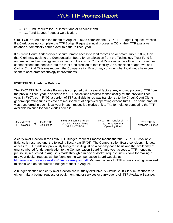- <span id="page-5-0"></span>\$1 Fund Request for Equipment and/or Services; and
- \$1 Fund Budget Request Certification.

Circuit Court Clerks had the month of August 2006 to complete the FY07 TTF Budget Request Process. If a Clerk does not complete the TTF Budget Request annual process in COIN, their TTF available balance automatically carries-over to a future fiscal year.

If a Circuit Court Clerk provides secure remote access to land records on or before July 1, 2007, then that Clerk may apply to the Compensation Board for an allocation from the Technology Trust Fund for automation and technology improvements in the Civil or Criminal Divisions, of his office. Such a request cannot exceed the deposits into the trust fund credited to that locality. As a condition of approval of a Civil or Criminal Divisions request, the Compensation Board may consider what local funds have been spent to accelerate technology improvements.

#### **FY07 TTF \$4 Available Balance**

The FY07 TTF \$4 Available Balance is computed using several factors. Any unused portion of TTF from the previous fiscal year is added to the TTF collections credited to that locality for the previous fiscal year. In FY07, as in FY06, a portion of TTF available funds was transferred to the Circuit Court Clerks' general operating funds to cover reimbursement of approved operating expenditures. The same amount was transferred in each fiscal year in each respective clerk's office. The formula for computing the TTF available balance for each clerk's office is:



A carry-over election in the FY07 TTF Budget Request Process means that the FY07 TTF Available Balance is reserved until the following fiscal year (FY08). The Compensation Board considers mid-year access to TTF funds not previously budgeted in August on a case-by-case basis and the availability of unencumbered funds. Application to the Compensation Board for mid-year access to TTF money not previously requested in August is made through a mid-year docket request. Instructions for making a mid-year docket request can be found on the Compensation Board website at http://www.scb.state.va.us/docs/ttfmidyearrequest.pdf. Mid-year access to TTF monies is not guaranteed to clerks who do not submit a budget request in August.

A budget election and carry-over election are mutually exclusive. A Circuit Court Clerk must choose to either make a budget request for equipment and/or services or carry-over their TTF Available Balance.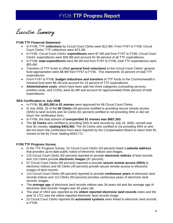<span id="page-6-0"></span>Executive Summary

#### **FY06 TTF Financial Statement**

- In FY06, TTF **collections** by Circuit Court Clerks were \$12.8M. From FY97 to FY06, Circuit Court Clerks' TTF collections were \$73.2M.
- In FY06, Circuit Court Clerks' **expenditures** were \$7.4M and from FY97 to FY06, Circuit Court Clerks' expenditures were \$35.9M and account for 65 percent of all TTF expenditures.
- In FY06, **total expenditures** were \$9.2M and from FY97 to FY06, total TTF expenditures were \$55.6M.
- Transfers of TTF funds to offset **general fund reductions** to the Circuit Court Clerks' general fund appropriation were \$8.9M from FY97 to FY06. This represents 16 percent of total TTF expenditures.
- From FY97 to FY06, **budget reductions and transfers** of TTF funds to the Commonwealth's General fund were \$9.1M and account for 16 percent of TTF expenditures.
- **Administrative costs**, which have been split into three categories (consulting services, position costs, and COIN), were \$1.6M and account for approximately three percent of total expenditures.

#### **SRA Certification in July 2006**

- In FY06, **\$1,483,265 in \$1 monies** were approved for 66 Circuit Court Clerks.
- In July 2006, 32 of the **66 Clerks** (49 percent) certified to providing secure remote access (SRA) to land records and 34 Clerks (51 percent) certified to not providing SRA or did not return the certification form.
- In FY06, the total amount of **unexpended \$1 monies was \$667,263**.
- The **32 Clerks** who certified to providing SRA to land records by July 19, 2006, carried-over their \$1 monies, **totaling \$403,492**. The 34 Clerks who certified to not providing SRA or who did not return the certification form were required by the Compensation Board to return their \$1 monies to the \$1 Fund, totaling \$263,771.

#### **FY06 TTF Progress Survey**

- In the TTF Progress Survey, 52 Circuit Court Clerks (43 percent) listed a **website address** that provides up-to-date public notice of electronic indices and images.
- 110 Circuit Court Clerks (92 percent) reported to provide **electronic indices** of land records and 116 Clerks provide **electronic images** (97 percent).
- 67 Circuit Court Clerks (56 percent) reported to provide **secure remote access (SRA)** to electronic indices and 59 Clerks (49 percent) provide secure remote access to electronic images of land records.
- 114 Circuit Court Clerks (95 percent) reported to provide **continuous years** of electronic land records indices and 112 Clerks (93 percent) provides continuous years of electronic land records' images.
- The **average age** of electronic land records indices was 34 years old and the average age of electronic land records' images was 30 years old.
- The year of 1653 was reported as the **oldest reported electronic land records** index and the year of 1721 was the oldest reported electronic land records image.
- 22 Circuit Court Clerks reported 60 **automated systems** were linked to electronic land records in FY06.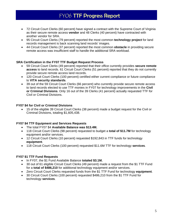- 72 Circuit Court Clerks (60 percent) have signed a contract with the Supreme Court of Virginia as their secure remote access **vendor** and 48 Clerks (40 percent) have contracted with another vendor for SRA.
- 95 Circuit Court Clerks (79 percent) reported the most common **technology project** for land records management is back scanning land records' images.
- 44 Circuit Court Clerks (37 percent) reported the most common **obstacle** in providing secure remote access was insufficient staff to handle the additional SRA workload.

#### **SRA Certification in the FY07 TTF Budget Request Process**

- 59 Circuit Court Clerks (49 percent) reported that their office currently provides **secure remote access** to land records. 61 Circuit Court Clerks (51 percent) reported that they do not currently provide secure remote access land records.
- 120 Circuit Court Clerks (100 percent) certified either current compliance or future compliance to **VITA security standards**.
- 39 out of the 59 Circuit Court Clerks (66 percent) who currently provide secure remote access to land records elected to use TTF monies in FY07 for technology improvements in the **Civil or Criminal Divisions**. Only 16 out of the 39 Clerks (41 percent) actually requested TTF for Civil or Criminal Divisions.

#### **FY07 \$4 for Civil or Criminal Divisions**

• 15 of the eligible 39 Circuit Court Clerks (38 percent) made a budget request for the Civil or Criminal Divisions, totaling \$1,605,438.

#### **FY07 \$4 TTF Equipment and Services Requests**

- The total FY07 \$4 **Available Balance was \$13.4M.**
- 118 Circuit Court Clerks (98 percent) requested to budget a **total of \$11.7M** for technology equipment and/or services.
- 12 Circuit Court Clerks (10 percent) requested \$192,843 in TTF funds for technology **equipment**.
- 118 Circuit Court Clerks (100 percent) requested \$11.6M TTF for technology **services**.

#### **FY07 \$1 TTF Fund Requests**

- In FY07, the \$1 Fund Available Balance **totaled \$3.1M.**
- 30 out of 61 eligible Circuit Court Clerks (49 percent) made a request from the \$1 TTF Fund for a **total of \$486,210** for additional technology equipment and/or services.
- Zero Circuit Court Clerks requested funds from the \$1 TTF Fund for technology **equipment**.
- 30 Circuit Court Clerks (100 percent) requested \$486,210 from the \$1 TTF Fund for technology **services**.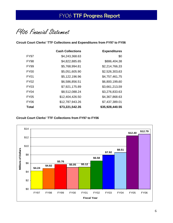<span id="page-8-0"></span>FY06 Financial Statement

**Circuit Court Clerks' TTF Collections and Expenditures from FY97 to FY06** 

|                  | <b>Cash Collections</b> | <b>Expenditures</b> |
|------------------|-------------------------|---------------------|
| FY97             | \$4,243,368.63          | \$0                 |
| <b>FY98</b>      | \$4,822,885.65          | \$886,404.38        |
| <b>FY99</b>      | \$5,768,994.81          | \$2,214,766.33      |
| FY <sub>00</sub> | \$5,051,605.90          | \$2,526,303.63      |
| FY01             | \$5,122,196.96          | \$4,757,461.75      |
| <b>FY02</b>      | \$6,586,856.51          | \$6,800,199.60      |
| FY03             | \$7,921,175.89          | \$3,661,213.59      |
| <b>FY04</b>      | \$8,512,088.24          | \$3,276,833.63      |
| <b>FY05</b>      | \$12,404,426.50         | \$4,367,868.63      |
| FY <sub>06</sub> | \$12,787,943.26         | \$7,437,389.01      |
| Total            | \$73,221,542.35         | \$35,928,440.55     |

**Circuit Court Clerks' TTF Collections from FY97 to FY06** 

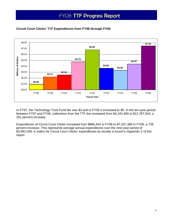

## <span id="page-9-0"></span>**Circuit Court Clerks' TTF Expenditures from FY98 through FY06**

In FY97, the Technology Trust Fund fee was \$3 and in FY05 it increased to \$5. In the ten-year period between FY97 and FY06, collections from the TTF fee increased from \$4,243,369 to \$12,787,943, a 201 percent increase.

Expenditures of Circuit Court Clerks increased from \$886,404 in FY98 to \$7,437,389 in FY06, a 739 percent increase. This represents average annual expenditures over the nine-year period of \$3,992,049. A matrix for Circuit Court Clerks' expenditures by locality is found in Appendix 2 of this report.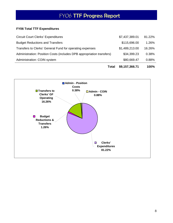## <span id="page-10-0"></span>**FY06 Total TTF Expenditures**

| Total                                                                 | \$9,157,366.71 | 100%   |
|-----------------------------------------------------------------------|----------------|--------|
| Administration: COIN system                                           | \$80,669.47    | 0.88%  |
| Administration: Position Costs (includes DPB appropriation transfers) | \$34,399.23    | 0.38%  |
| Transfers to Clerks' General Fund for operating expenses              | \$1,489,213.00 | 16.26% |
| <b>Budget Reductions and Transfers</b>                                | \$115,696.00   | 1.26%  |
| <b>Circuit Court Clerks' Expenditures</b>                             | \$7,437,389.01 | 81.22% |

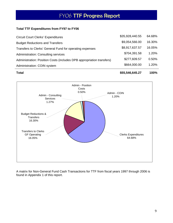#### <span id="page-11-0"></span>**Total TTF Expenditures from FY97 to FY06**

| <b>Circuit Court Clerks' Expenditures</b>                             | \$35,928,440.55 | 64.68% |
|-----------------------------------------------------------------------|-----------------|--------|
| <b>Budget Reductions and Transfers</b>                                | \$9,054,566.00  | 16.30% |
| Transfers to Clerks' General Fund for operating expenses              | \$8,917,637.57  | 16.05% |
| <b>Administration: Consulting services</b>                            | \$704,391.58    | 1.20%  |
| Administration: Position Costs (includes DPB appropriation transfers) | \$277,609.57    | 0.50%  |
| Administration: COIN system                                           | \$664,000.00    | 1.20%  |
|                                                                       |                 |        |

**Total \$55,546,645.27 100%**



A matrix for Non-General Fund Cash Transactions for TTF from fiscal years 1997 through 2006 is found in Appendix 1 of this report.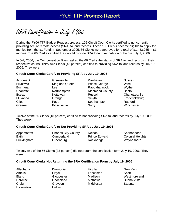<span id="page-12-0"></span>SRA Certification in July FY06

During the FY06 TTF Budget Request process, 105 Circuit Court Clerks certified to not currently providing secure remote access (SRA) to land records. These 105 Clerks became eligible to apply for monies from the \$1 Fund. In September 2005, 66 Clerks were approved for a total of \$1,483,265 in \$1 monies. The 66 Clerks certified they would provide SRA to land records on or before July 1, 2006.

In July 2006, the Compensation Board asked the 66 Clerks the status of SRA to land records in their respective courts. Thirty-two Clerks (48 percent) certified to providing SRA to land records by July 19, 2006. They were:

#### **Circuit Court Clerks Certify to Providing SRA by July 19, 2006**

| Accomack         | Greensville    | Powhatan               | <b>Sussex</b>   |
|------------------|----------------|------------------------|-----------------|
| <b>Brunswick</b> | King and Queen | <b>Prince George</b>   | Wise            |
| <b>Buchanan</b>  | Lee            | Rappahannock           | Wythe           |
| Charlotte        | Northampton    | <b>Richmond County</b> | <b>Bristol</b>  |
| <b>Essex</b>     | Nottoway       | Russell                | Charlottesville |
| Fluvanna         | Orange         | Smyth                  | Fredericksburg  |
| Giles            | Page           | Southampton            | Radford         |
| Greene           | Pittsylvania   | Surry                  | Winchester      |

Twelve of the 66 Clerks (18 percent) certified to not providing SRA to land records by July 19, 2006. They were:

#### **Circuit Court Clerks Certify to Not Providing SRA by July 19, 2006**

| Appomattox        | <b>Charles City County</b> | <b>Nelson</b>        | Shenandoah              |
|-------------------|----------------------------|----------------------|-------------------------|
| <b>Bath</b>       | Cumberland                 | <b>Prince Edward</b> | <b>Colonial Heights</b> |
| <b>Buckingham</b> | Lunenburg                  | Rockbridge           | Waynesboro              |

Twenty-two of the 66 Clerks (33 percent) did not return the certification form July 19, 2006. They were:

#### **Circuit Court Clerks Not Returning the SRA Certification Form by July 19, 2006**

| Alleghany        | Dinwiddie      | Highland       | New Kent           |
|------------------|----------------|----------------|--------------------|
| Amelia           | Floyd          | Lancaster      | Scott              |
| <b>Bland</b>     | Gloucester     | Madison        | Westmoreland       |
| Caroline         | Goochland      | <b>Mathews</b> | <b>Buena Vista</b> |
| Craig            | Grayson        | Middlesex      | Staunton           |
| <b>Dickenson</b> | <b>Halifax</b> |                |                    |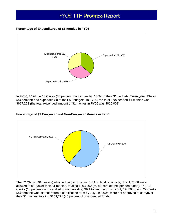#### <span id="page-13-0"></span>**Percentage of Expenditures of \$1 monies in FY06**



In FY06, 24 of the 66 Clerks (36 percent) had expended 100% of their \$1 budgets. Twenty-two Clerks (33 percent) had expended \$0 of their \$1 budgets. In FY06, the total unexpended \$1 monies was \$667,263 (the total expended amount of \$1 monies in FY06 was \$816,002).



#### **Percentage of \$1 Carryover and Non-Carryover Monies in FY06**

The 32 Clerks (48 percent) who certified to providing SRA to land records by July 1, 2006 were allowed to carryover their \$1 monies, totaling \$403,492 (60 percent of unexpended funds). The 12 Clerks (18 percent) who certified to not providing SRA to land records by July 19, 2006, and 22 Clerks (33 percent) who did not return a certification form by July 19, 2006, were not approved to carryover their \$1 monies, totaling \$263,771 (40 percent of unexpended funds).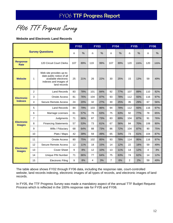<span id="page-14-0"></span>FY06 TTF Progress Survey

#### **Website and Electronic Land Records**

|                                    |                |                                                                                                                        | <b>FY02</b>    | <b>FY03</b> |     | <b>FY04</b> |                | <b>FY05</b> |                | <b>FY06</b> |     |      |
|------------------------------------|----------------|------------------------------------------------------------------------------------------------------------------------|----------------|-------------|-----|-------------|----------------|-------------|----------------|-------------|-----|------|
|                                    |                | <b>Survey Questions</b>                                                                                                | n              | %           | n   | %           | n              | $\%$        | $\mathsf{n}$   | %           | n   | %    |
| <b>Response</b><br><b>Rate</b>     |                | 120 Circuit Court Clerks                                                                                               | 107            | 89%         | 119 | 99%         | 107            | 89%         | 120            | 100%        | 120 | 100% |
| <b>Website</b>                     | 1              | Web site provides up-to-<br>date public notice of all<br>available electronic<br>indexes and images of<br>land records | 25             | 21%         | 26  | 22%         | 30             | 25%         | 15             | 13%         | 59  | 49%  |
|                                    | $\overline{2}$ | <b>Land Records</b>                                                                                                    | 83             | 78%         | 101 | 84%         | 92             | 77%         | 107            | 89%         | 110 | 92%  |
| <b>Electronic</b>                  | 3              | <b>Onsite Access</b>                                                                                                   | 81             | 76%         | 104 | 87%         | 93             | 78%         | 112            | 93%         | 116 | 97%  |
| <b>Indexes</b>                     | 4              | <b>Secure Remote Access</b>                                                                                            | 24             | 20%         | 32  | 27%         | 30             | 25%         | 35             | 29%         | 67  | 56%  |
|                                    | 5              | <b>Land Records</b>                                                                                                    | 84             | 79%         | 103 | 86%         | 94             | 78%         | 112            | 93%         | 116 | 97%  |
|                                    | 6              | Marriage Licenses                                                                                                      | 61             | 57%         | 76  | 63%         | 75             | 63%         | 92             | 77%         | 78  | 65%  |
|                                    | $\overline{7}$ | Judgments                                                                                                              | 71             | 66%         | 87  | 73%         | 83             | 69%         | 104            | 87%         | 91  | 76%  |
| <b>Electronic</b><br><b>Images</b> | 8              | <b>Financing Statements</b>                                                                                            | 57             | 53%         | 73  | 61%         | 67             | 56%         | 84             | 70%         | 108 | 90%  |
|                                    | 9              | Wills / Fiduciary                                                                                                      | 68             | 64%         | 88  | 73%         | 86             | 72%         | 104            | 87%         | 90  | 75%  |
|                                    | 10             | Plats / Maps                                                                                                           | 42             | 39%         | 59  | 49%         | 65             | 54%         | 73             | 61%         | 104 | 87%  |
|                                    | 11             | <b>Onsite Access</b>                                                                                                   | 80             | 75%         | 102 | 85%         | 93             | 78%         | 114            | 95%         | 116 | 97%  |
|                                    | 12             | <b>Secure Remote Access</b>                                                                                            | 12             | 11%         | 18  | 15%         | 14             | 12%         | 22             | 18%         | 59  | 49%  |
| <b>Electronic</b><br><b>Images</b> | 13             | <b>Cover Sheet</b>                                                                                                     | $\overline{9}$ | 8%          | 12  | 10%         | 13             | 11%         | 14             | 12%         | 4   | 3%   |
|                                    | 14             | Unique PIN Number                                                                                                      | 71             | 66%         | 77  | 64%         | 75             | 63%         | 74             | 62%         | 14  | 12%  |
|                                    | 15             | <b>Electronic Filing</b>                                                                                               | 9              | 8%          | 4   | 3%          | $\overline{7}$ | 6%          | $\overline{2}$ | 2%          | 59  | 49%  |

The table above shows FY02 through FY06 data, including the response rate, court-controlled website, land records indexing, electronic images of all types of records, and electronic images of land records.

In FY05, the TTF Progress Survey was made a mandatory aspect of the annual TTF Budget Request Process which is reflected in the 100% response rate for FY05 and FY06.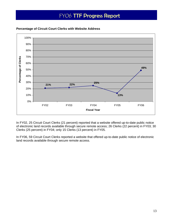

#### <span id="page-15-0"></span>**Percentage of Circuit Court Clerks with Website Address**

In FY02, 25 Circuit Court Clerks (21 percent) reported that a website offered up-to-date public notice of electronic land records available through secure remote access; 26 Clerks (22 percent) in FY03; 30 Clerks (25 percent) in FY04; only 15 Clerks (13 percent) in FY05.

In FY06, 59 Circuit Court Clerks reported a website that offered up-to-date public notice of electronic land records available through secure remote access.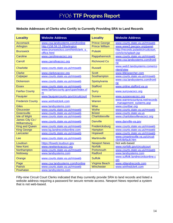#### <span id="page-16-0"></span>**Website Addresses of Clerks who Certify to Currently Providing SRA to Land Records**

| <b>Locality</b>                 | <b>Website Address</b>                           | <b>Locality</b>       | <b>Website Address</b>                                      |
|---------------------------------|--------------------------------------------------|-----------------------|-------------------------------------------------------------|
| <b>Accomack</b>                 | www.csa.landsystems.com/Ironline                 | <b>Prince George</b>  | www.courts.state.va.us/rmsweb                               |
| Arlington                       | http://158.59.15.28/arlington                    | <b>Prince William</b> | www.www3.pwcgov.org/panet                                   |
| <b>Brunswick</b>                | www.brunswickco.com/html/clerk_s_<br>office.html | Pulaski               | http://records.pulaskicircuitcourt.<br>com/icris/splash.jsp |
| Caroline                        | www.carolinevacocc.org                           | Rappahannock          | www.courts.state.va.us/rmsweb                               |
| Carroll                         | www.carrollvacocc.org                            | <b>Richmond Co</b>    | www.csa.landsystems.com/lronli<br>ne                        |
| <b>Charlotte</b>                | www.courts.state.va.us/rmsweb                    | <b>Russell</b>        | www,web3.landsystems.come/co<br>ntent/view                  |
| <b>Clarke</b>                   | www.clarkevacocc.org                             | <b>Scott</b>          | www.titlesearcher.com                                       |
| <b>Culpeper</b>                 | www.courts.state.va.us/rmsweb                    | Southampton           | www.courts.state.va.us/rmsweb                               |
| <b>Dickenson</b>                | www.courts.state.va.us/rmsweb                    | Spotsylvania          | www.csa.landsystems.com/lronli<br>ne                        |
| <b>Essex</b>                    | www.courts.state.va.us/rmsweb                    | <b>Stafford</b>       | www.online.stafford.va.us                                   |
| <b>Fairfax County</b>           | www.fairfaxcounty.gov/cpan/index.cf<br>m         | <b>Surry</b>          | www.surryvacocc.org                                         |
| Fauquier                        | www.fauquiercounty.gov/circuitcourt              | <b>Sussex</b>         | www.sussexvacocc.org                                        |
| <b>Frederick County</b>         | www.winfredclerk.com                             | Warren                | www.warrencountyva.net/records<br>management_systems.asp    |
| <b>Giles</b>                    | www.landsystems.com                              | <b>Wise</b>           | www.courtbar.org                                            |
| Gloucester                      | www.courts.state.va.us/rmsweb                    | Wythe                 | www.courts.state.va.us/rmsweb                               |
| Greensville                     | www.courts.state.va.us/rmsweb                    | <b>Bristol</b>        | www.courts.state.va.us                                      |
| <b>Isle of Wight</b>            | www.courts.state.va.us/rmsweb                    | Charlottesville       | www.charlottesvillevacocc.org                               |
| James City Co /<br>Williamsburg | www.courts.state.va.us/rmsweb                    | <b>Danville</b>       | www.danville-va.gov                                         |
| <b>King and Queen</b>           | www.courts.state.va.us/rmsweb                    | Fredericksburg        | www.courts.state.va.us/rmsweb                               |
| <b>King George</b>              | www.kg.landrecordsonline.com                     | Hampton               | www.courts.state.va.us/rmsweb                               |
| Lancaster                       | www.courts.state.va.us/rmsweb                    | <b>Hopewell</b>       | www.courts.state.va.us/rmsweb                               |
| Lee                             | www.courts.state.va.us/rmsweb                    | <b>Martinsville</b>   | www.cimartinsville.va.us/circuit<br>clerk/default.htm       |
| Loudoun                         | https://lisweb.loudoun.gov                       | <b>Newport News</b>   | Not web-based                                               |
| <b>New Kent</b>                 | www.newkentvacocc.org                            | <b>Norfolk</b>        | www.norfolk.gov/circuitcourt                                |
| Northampton                     | www.courts.state.va.us/rmsweb                    | Portsmouth            | www.courts.state.va.us/rmsweb                               |
| <b>Nottoway</b>                 | www.landsystems.com                              | <b>Radford</b>        | www.landsystems.com                                         |
| Orange                          | www.courts.state.va.us/rmsweb                    | <b>Suffolk</b>        | www.suffolk.landrecordsonline.c<br><b>om</b>                |
| Page                            | www.csa.landsystems.com/Ironline                 | Virginia Beach        | www.vblandrecords.com                                       |
| <b>Patrick</b>                  | www.courts.state.va.us/rmsweb                    | Winchester            | www.winfredclerk.com                                        |
| Powhatan                        | www.landsystems.com                              |                       |                                                             |

Fifty-nine Circuit Court Clerks indicated that they currently provide SRA to land records and listed a website address requiring a password for secure remote access. Newport News reported a system that is not web-based.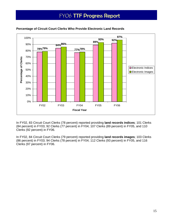

#### <span id="page-17-0"></span>**Percentage of Circuit Court Clerks Who Provide Electronic Land Records**

In FY02, 83 Circuit Court Clerks (78 percent) reported providing **land records indices**; 101 Clerks (84 percent) in FY03; 92 Clerks (77 percent) in FY04; 107 Clerks (89 percent) in FY05, and 110 Clerks (92 percent) in FY06.

In FY02, 84 Circuit Court Clerks (79 percent) reported providing **land records images**; 103 Clerks (86 percent) in FY03; 94 Clerks (78 percent) in FY04; 112 Clerks (93 percent) in FY05, and 116 Clerks (97 percent) in FY06.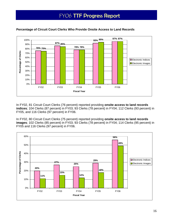

#### <span id="page-18-0"></span>**Percentage of Circuit Court Clerks Who Provide Onsite Access to Land Records**

In FY02, 81 Circuit Court Clerks (76 percent) reported providing **onsite access to land records indices**; 104 Clerks (87 percent) in FY03; 93 Clerks (78 percent) in FY04; 112 Clerks (93 percent) in FY05, and 116 Clerks (97 percent) in FY06.

In FY02, 80 Circuit Court Clerks (75 percent) reported providing **onsite access to land records images**; 102 Clerks (85 percent) in FY03; 93 Clerks (78 percent) in FY04; 114 Clerks (95 percent) in FY05 and 116 Clerks (97 percent) in FY06.

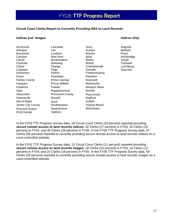#### **Circuit Court Clerks Report to Currently Providing SRA to Land Records**

#### *Indices and Images Indices Only*

| Accomack              | Lancaster              | Surry               | Augusta        |
|-----------------------|------------------------|---------------------|----------------|
| Arlington             | Lee                    | <b>Sussex</b>       | <b>Bedford</b> |
| <b>Brunswick</b>      | Loudoun                | Warren              | Floyd          |
| Caroline              | New Kent               | Wise                | Rockbridg      |
| Carroll               | Northampton            | Wythe               | Smyth          |
| Charlotte             | Nottoway               | <b>Bristol</b>      | Tazewell       |
| Clarke                | Orange                 | Charlottesville     | Lynchburg      |
| Culpeper              | Page                   | Danville            | Staunton       |
| Dickenson             | <b>Patrick</b>         | Fredericksburg      |                |
| Essex                 | Powhatan               | Hampton             |                |
| <b>Fairfax County</b> | Prince George          | Hopewell            |                |
| Fauquier              | <b>Prince William</b>  | Martinsville        |                |
| Frederick             | Pulaski                | <b>Newport News</b> |                |
| Giles                 | Rappahannock           | <b>Norfolk</b>      |                |
| Gloucester            | <b>Richmond County</b> | Portsmouth          |                |
| Greensville           | Russell                | Radford             |                |
| Isle of Wight         | Scott                  | Suffolk             |                |
| James City County     | Southampton            | Virginia Beach      |                |
| King and Queen        | Spotsylvania           | Winchester          |                |
| King George           | Stafford               |                     |                |
|                       |                        |                     |                |

In the FY02 TTF Progress Survey data, 24 Circuit Court Clerks (20 percent) reported providing **secure remote access to land records indices**; 32 Clerks (27 percent) in FY03; 30 Clerks (25 percent) in FY04, and 35 Clerks (29 percent) in FY05. In the FY06 TTF Progress Survey data, 67 Clerks (56 percent) reported to currently providing secure remote access to land records indices on a court-controlled website.

In the FY02 TTF Progress Survey data, 12 Circuit Court Clerks (11 percent) reported providing **secure remote access to land records images**; 18 Clerks (15 percent) in FY03; 14 Clerks (12 percent) in FY04; and 22 Clerks (18 percent) in FY05. In the FY06 TTF Progress Survey data, 59 Clerks (49 percent) reported to currently providing secure remote access to land records images on a court-controlled website.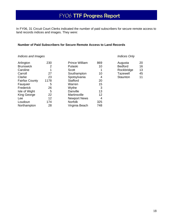In FY06, 31 Circuit Court Clerks indicated the number of paid subscribers for secure remote access to land records indices and images. They were:

#### **Number of Paid Subscribers for Secure Remote Access to Land Records**

#### **Indices and Images Indices Only**  *Indices Only Indices Only*

| 230  | <b>Prince William</b> | 869 | Augusta         | 20 |
|------|-----------------------|-----|-----------------|----|
| 2    | Pulaski               | 10  | <b>Bedford</b>  | 16 |
|      | <b>Scott</b>          |     | Rockbridge      | 13 |
| 27   | Southampton           | 10  | <b>Tazewell</b> | 45 |
| 23   | Spotsylvania          | 4   | Staunton        | 11 |
| 1178 | <b>Stafford</b>       | 20  |                 |    |
| 5    | Warren                | 15  |                 |    |
| 26   | Wythe                 | 3   |                 |    |
| 5    | Danville              | 13  |                 |    |
| 22   | Martinsville          | 12  |                 |    |
| 12   | <b>Newport News</b>   | 4   |                 |    |
| 174  | <b>Norfolk</b>        | 325 |                 |    |
| 28   | Virginia Beach        | 748 |                 |    |
|      |                       |     |                 |    |

| Augusta         | 20 |
|-----------------|----|
| <b>Bedford</b>  | 16 |
| Rockbridge      | 13 |
| <b>Tazewell</b> | 45 |
| Staunton        | 11 |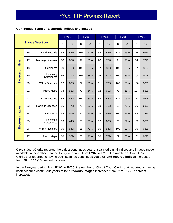#### **Continuous Years of Electronic Indices and Images**

|                    |                         |                                |    | <b>FY02</b> |     | <b>FY03</b> | <b>FY04</b> |     | <b>FY05</b> |     | <b>FY06</b> |     |
|--------------------|-------------------------|--------------------------------|----|-------------|-----|-------------|-------------|-----|-------------|-----|-------------|-----|
|                    | <b>Survey Questions</b> |                                |    | %           | n   | $\%$        | n           | %   | n           | %   | n           | %   |
|                    | 16                      | <b>Land Records</b>            | 98 | 82%         | 109 | 91%         | 99          | 83% | 111         | 93% | 114         | 95% |
|                    | 17                      | Marriage Licenses              | 80 | 67%         | 97  | 81%         | 90          | 75% | 94          | 78% | 84          | 70% |
|                    | 18                      | Judgments                      | 90 | 75%         | 105 | 88%         | 97          | 81% | 105         | 88% | 97          | 81% |
| Electronic Indices | 19                      | Financing<br><b>Statements</b> | 85 | 71%         | 102 | 85%         | 96          | 80% | 100         | 83% | 108         | 90% |
|                    | 20                      | Wills / Fiduciary              | 82 | 68%         | 97  | 81%         | 91          | 76% | 102         | 85% | 106         | 88% |
|                    | 21                      | Plats / Maps                   | 63 | 53%         | 77  | 64%         | 72          | 60% | 78          | 65% | 104         | 86% |
|                    | 22                      | <b>Land Records</b>            | 82 | 68%         | 100 | 83%         | 58          | 48% | 111         | 93% | 112         | 93% |
|                    | 23                      | Marriage Licenses              | 56 | 47%         | 72  | 60%         | 93          | 78% | 88          | 73% | 76          | 63% |
|                    | 24                      | Judgments                      | 68 | 57%         | 87  | 73%         | 75          | 63% | 100         | 83% | 89          | 74% |
| Electronic Images  | 25                      | Financing<br><b>Statements</b> | 53 | 44%         | 69  | 58%         | 82          | 68% | 80          | 67% | 102         | 85% |
|                    | 26                      | Wills / Fiduciary              | 65 | 54%         | 85  | 71%         | 65          | 54% | 100         | 83% | 75          | 63% |
|                    | 27                      | Plats / Maps                   | 36 | 30%         | 55  | 46%         | 86          | 72% | 69          | 58% | 103         | 86% |

Circuit Court Clerks reported the oldest continuous year of scanned digital indices and images made available in their offices. In the five-year period, from FY02 to FY06, the number of Circuit Court Clerks that reported to having back scanned continuous years of **land records indices** increased from 98 to 114 (16 percent increase).

In the five-year period, from FY02 to FY06, the number of Circuit Court Clerks that reported to having back scanned continuous years of **land records images** increased from 82 to 112 (37 percent increase).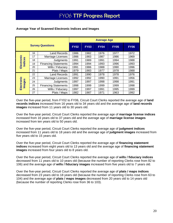|                             |    |                             | <b>Average Age</b> |             |             |             |             |  |  |  |  |
|-----------------------------|----|-----------------------------|--------------------|-------------|-------------|-------------|-------------|--|--|--|--|
|                             |    | <b>Survey Questions</b>     | <b>FY02</b>        | <b>FY03</b> | <b>FY04</b> | <b>FY05</b> | <b>FY06</b> |  |  |  |  |
|                             | 16 | Land Records                | 1986               | 1982        | 1976        | 1977        | 1972        |  |  |  |  |
| ပ                           | 17 | Marriage Licenses           | 1986               | 1983        | 1987        | 1986        | 1969        |  |  |  |  |
|                             | 18 | Judgments                   | 1991               | 1989        | 1991        | 1994        | 1988        |  |  |  |  |
| Electroni<br>Indices        | 19 | <b>Financing Statements</b> | 1994               | 1994        | 1993        | 1996        | 1993        |  |  |  |  |
|                             | 20 | Wills / Fiduciary           | 1991               | 1986        | 1988        | 1990        | 1996        |  |  |  |  |
|                             | 21 | Plats / Maps                | 1979               | 1983        | 1977        | 1978        | 1988        |  |  |  |  |
|                             | 22 | Land Records                | 1991               | 1990        | 1978        | 1978        | 1976        |  |  |  |  |
|                             | 23 | Marriage Licenses           | 1992               | 1992        | 1990        | 1991        | 1956        |  |  |  |  |
|                             | 24 | Judgments                   | 1997               | 1997        | 1998        | 1998        | 1991        |  |  |  |  |
| Electronic<br><b>Images</b> | 25 | <b>Financing Statements</b> | 1998               | 1999        | 1999        | 1999        | 1998        |  |  |  |  |
|                             | 26 | Wills / Fiduciary           | 1997               | 1997        | 1991        | 1995        | 1999        |  |  |  |  |
|                             | 27 | Plats / Maps                | 1982               | 1987        | 1971        | 1963        | 1992        |  |  |  |  |

#### **Average Year of Scanned Electronic Indices and Images**

Over the five-year period, from FY02 to FY06, Circuit Court Clerks reported the average age of **land records indices** increased from 16 years old to 34 years old and the average age of **land records images** increased from 11 years old to 30 years old.

Over the five-year period, Circuit Court Clerks reported the average age of **marriage license indices**  increased from 16 years old to 37 years old and the average age of **marriage license images** increased from ten years old to 50 years old.

Over the five-year period, Circuit Court Clerks reported the average age of **judgment indices**  increased from 11 years old to 18 years old and the average age of **judgment images** increased from five years old to 15 years old.

Over the five-year period, Circuit Court Clerks reported the average age of **financing statement indices** increased from eight years old to 13 years old and the average age of **financing statement images** increased from four years old to 8 years old.

Over the five-year period, Circuit Court Clerks reported the average age of **wills / fiduciary indices**  decreased from 11 years old to 10 years old (because the number of reporting Clerks rose from 82 to 106) and the average age of **wills / fiduciary images** increased from five years old to 7 years old.

Over the five-year period, Circuit Court Clerks reported the average age of **plats / maps indices**  decreased from 23 years old to 18 years old (because the number of reporting Clerks rose from 63 to 104) and the average age of **plats / maps images** decreased from 20 years old to 14 years old (because the number of reporting Clerks rose from 36 to 103).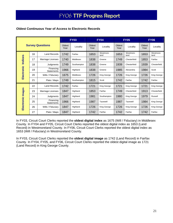|                   |                         |                                |      | <b>FY03</b> |                | <b>FY04</b>       |                | <b>FY05</b>       |                | <b>FY06</b>       |
|-------------------|-------------------------|--------------------------------|------|-------------|----------------|-------------------|----------------|-------------------|----------------|-------------------|
|                   | <b>Survey Questions</b> |                                |      | Locality    | Oldest<br>Year | Locality          | Oldest<br>Year | Locality          | Oldest<br>Year | Locality          |
|                   | 16                      | <b>Land Records</b>            | 1742 | Fairfax     | 1653           | Westmore-<br>land | 1653           | Westmore-<br>land | 1653           | Westmore-<br>land |
| Indices           | 17                      | Marriage Licenses              | 1740 | Middlesex   | 1838           | Greene            | 1749           | Chesterfield      | 1853           | Fairfax           |
|                   | 18                      | Judgments                      | 1749 | Southampton | 1838           | Greene            | 1939           | Chesterfield      | 1939           | Chesterfield      |
| Electronic        | 19                      | Financing<br><b>Statements</b> | 1966 | Highland    | 1838           | Greene            | 1985           | Alexandria        | 1984           | Scott             |
|                   | 20<br>Wills / Fiduciary |                                | 1675 | Middlesex   | 1726           | King George       | 1726           | King George       | 1726           | King George       |
|                   | 21                      | Plats / Maps                   | 1749 | Southampton | 1815           | Scott             | 1742           | Fairfax           | 1742           | Fairfax           |
|                   | 22                      | <b>Land Records</b>            | 1742 | Fairfax     | 1721           | King George       | 1721           | King George       | 1721           | King George       |
|                   | 23                      | Marriage Licenses              | 1847 | Highland    | 1853           | Fairfax           | 1749           | Chesterfield      | 1913           | Chesterfield      |
|                   | 24                      | Judgments                      | 1847 | Highland    | 1981           | Southampton       | 1980           | King George       | 1979           | Russell           |
| Electronic Images | 25                      | Financing<br><b>Statements</b> | 1966 | Highland    | 1987           | Tazewell          | 1987           | Tazewell          | 1984           | King George       |
|                   | 26                      | Wills / Fiduciary              | 1847 | Highland    | 1726           | King George       | 1726           | King George       | 1726           | King George       |
|                   | 27                      | Plats / Maps                   | 1847 | Highland    | 1742           | Fairfax           | 1742           | Fairfax           | 1742           | Fairfax           |

#### **Oldest Continuous Year of Access to Electronic Records**

In FY03, Circuit Court Clerks reported the **oldest digital index** as 1675 (Will / Fiduciary) in Middlesex County. In FY04 and FY05, Circuit Court Clerks reported the oldest digital index as 1653 (Land Record) in Westmoreland County. In FY06, Circuit Court Clerks reported the oldest digital index as 1653 (Will / Fiduciary) in Westmoreland County.

In FY03, Circuit Court Clerks reported the **oldest digital image** as 1742 (Land Record) in Fairfax County. In FY04, FY05, and FY06, Circuit Court Clerks reported the oldest digital image as 1721 (Land Record) in King George County.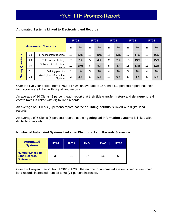|                          |    |                                  |    | <b>FY02</b>   |    | <b>FY03</b> |    | <b>FY04</b> |    | <b>FY05</b> |    | <b>FY06</b> |
|--------------------------|----|----------------------------------|----|---------------|----|-------------|----|-------------|----|-------------|----|-------------|
| <b>Automated Systems</b> |    |                                  | n  | $\frac{0}{0}$ | n  | %           | n  | %           | n  | %           | n  | %           |
|                          | 28 | Tax assessment records           | 13 | 12%           | 12 | 10%         | 15 | 13%         | 17 | 14%         | 19 | 16%         |
|                          | 29 | Title transfer history           | 7  | 7%            | 5  | 4%          | 2  | 2%          | 16 | 13%         | 18 | 15%         |
| Questions                | 30 | Delinguent real estate<br>taxes  | 11 | 10%           | 6  | 5%          | 5  | 4%          | 15 | 13%         | 13 | 12%         |
| Survey                   | 31 | <b>Building permits</b>          | 1  | 1%            | 3  | 3%          | 4  | 3%          | 3  | 3%          | 4  | 3%          |
|                          | 32 | Geological Information<br>System | 3  | 3%            | 6  | 5%          | 11 | 9%          | 5  | 4%          | 6  | 5%          |

#### **Automated Systems Linked to Electronic Land Records**

Over the five-year period, from FY02 to FY06, an average of 15 Clerks (13 percent) report that their **tax records** are linked with digital land records.

An average of 10 Clerks (8 percent) each report that their **title transfer history** and **delinquent real estate taxes** is linked with digital land records.

An average of 3 Clerks (3 percent) report that their **building permits** is linked with digital land records.

An average of 6 Clerks (5 percent) report that their **geological information systems** is linked with digital land records.

#### **Number of Automated Systems Linked to Electronic Land Records Statewide**

| <b>Automated</b><br><b>Systems</b>                          | <b>FY02</b> | <b>FY03</b> | <b>FY04</b> | <b>FY05</b> | <b>FY06</b> |
|-------------------------------------------------------------|-------------|-------------|-------------|-------------|-------------|
| Number Linked to<br><b>Land Records</b><br><b>Statewide</b> | 35          | 32          | 37          | 56          | 60          |

Over the five-year period, from FY02 to FY06, the number of automated system linked to electronic land records increased from 35 to 60 (71 percent increase).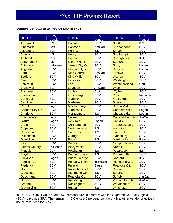#### **Vendors Contracted to Provide SRA in FY06**

| Locality               | <b>SRA</b><br>Vendor | Locality              | <b>SRA</b><br>Vendor | Locality                | <b>SRA</b><br>Vendor |
|------------------------|----------------------|-----------------------|----------------------|-------------------------|----------------------|
| <b>Accomack</b>        | <b>ILS</b>           | <b>Halifax</b>        | SCV                  | <b>Scott</b>            | <b>BIS</b>           |
| Albemarle              | Cott                 | <b>Hanover</b>        | AmCad                | Shenandoah              | <b>SCV</b>           |
| Alleghany              | <b>SCV</b>           | <b>Henrico</b>        | <b>ILS</b>           | <b>Smyth</b>            | <b>SCV</b>           |
| <b>Amelia</b>          | $\overline{ILS}$     | <b>Henry</b>          | <b>SCV</b>           | Southampton             | <b>SCV</b>           |
| <b>Amherst</b>         | Cott                 | <b>Highland</b>       | <b>SCV</b>           | Spotsylvania            | <b>ILS</b>           |
| <b>Appomattox</b>      | <b>ILS</b>           | <b>Isle of Wight</b>  | SCV                  | <b>Stafford</b>         | SCV                  |
| Arlington              | In-House             | <b>James City Co</b>  | SCV                  | <b>Surry</b>            | Logan                |
| Augusta                | SCV                  | <b>King and Queen</b> | <b>SCV</b>           | <b>Sussex</b>           | Logan                |
| <b>Bath</b>            | SCV                  | <b>King George</b>    | AmCad                | <b>Tazewell</b>         | SCV                  |
| <b>Bedford</b>         | SCV                  | <b>King William</b>   | SCV                  | <b>Warren</b>           | SCV                  |
| <b>Bland</b>           | <b>SCV</b>           | Lancaster             | SCV                  | Washington              | <b>SCV</b>           |
| <b>Botetourt</b>       | SCV                  | Lee                   | SCV                  | Westmoreland            | Cott                 |
| <b>Brunswick</b>       | SCV                  | Loudoun               | AmCad                | <b>Wise</b>             | <b>SCV</b>           |
| <b>Buchanan</b>        | <b>SCV</b>           | Louisa                | Cott                 | <b>Wythe</b>            | <b>SCV</b>           |
| <b>Buckingham</b>      | <b>ILS</b>           | Lunenburg             | SCV                  | <b>York</b>             | In-House             |
| Campbell               | SCV                  | <b>Madison</b>        | <b>SCV</b>           | Alexandria              | SCV                  |
| <b>Caroline</b>        | Logan                | <b>Mathews</b>        | SCV                  | <b>Bristol</b>          | SCV                  |
| Carroll                | Logan                | Mecklenburg           | <b>SCV</b>           | <b>Buena Vista</b>      | <b>SCV</b>           |
| <b>Charles City Co</b> | SCV                  | <b>Middlesex</b>      | <b>SCV</b>           | Charlottesville         | Logan                |
| <b>Charlotte</b>       | SCV                  | <b>Montgomery</b>     | <b>ILS</b>           | Chesapeake              | Logan                |
| <b>Chesterfield</b>    | Logan                | <b>Nelson</b>         | <b>SCV</b>           | <b>Colonial Heights</b> | AmCad                |
| <b>Clarke</b>          | Logan                | <b>New Kent</b>       | Logan                | <b>Danville</b>         | <b>SCV</b>           |
| Craig                  | SCV                  | Northampton           | <b>SCV</b>           | Fredericksburg          | <b>SCV</b>           |
| <b>Culpeper</b>        | SCV                  | Northumberland        | <b>ILS</b>           | Hampton                 | SCV                  |
| <b>Cumberland</b>      | $\overline{ILS}$     | <b>Nottoway</b>       | $\overline{ILS}$     | <b>Hopewell</b>         | SCV                  |
| <b>Dickenson</b>       | SCV                  | Orange                | SCV                  | Lynchburg               | <b>SCV</b>           |
| <b>Dinwiddie</b>       | SCV                  | Page                  | <b>ILS</b>           | <b>Martinsville</b>     | Reams                |
| <b>Essex</b>           | SCV                  | <b>Patrick</b>        | SCV                  | <b>Newport News</b>     | <b>SCV</b>           |
| <b>Fairfax County</b>  | In-House             | Pittsylvania          | SCV                  | <b>Norfolk</b>          | SCV                  |
| Fauquier               | Cott                 | Powhatan              | <b>ILS</b>           | Petersburg              | <b>ILS</b>           |
| Floyd                  | <b>SCV</b>           | <b>Prince Edward</b>  | <b>ILS</b>           | Portsmouth              | SCV                  |
| Fluvanna               | Logan                | <b>Prince George</b>  | SCV                  | <b>Radford</b>          | <b>ILS</b>           |
| <b>Franklin Co</b>     | <b>SCV</b>           | <b>Prince William</b> | In-House             | <b>Richmond City</b>    | <b>SCV</b>           |
| <b>Frederick</b>       | <b>SCV</b>           | Pulaski               | Eagle                | <b>Roanoke City</b>     | <b>SCV</b>           |
| <b>Giles</b>           | <b>ILS</b>           | Rappahannock          | SCV                  | <b>Salem</b>            | <b>SCV</b>           |
| Gloucester             | <b>SCV</b>           | <b>Richmond Co</b>    | <b>ILS</b>           | <b>Staunton</b>         | <b>SCV</b>           |
| Goochland              | SCV                  | <b>Roanoke Co</b>     | SCV                  | <b>Suffolk</b>          | AmCad                |
| Grayson                | <b>SCV</b>           | Rockbridge            | SCV                  | <b>Virginia Beach</b>   | AmCad                |
| Greene                 | Cott                 | Rockingham            | <b>ACS</b>           | Waynesboro              | <b>SCV</b>           |
| Greensville            | <b>SCV</b>           | <b>Russell</b>        | <b>ILS</b>           | Winchester              | SCV                  |

In FY06, 72 Circuit Court Clerks (60 percent) have a contract with the Supreme Court of Virginia (SCV) to provide SRA. The remaining 48 Clerks (40 percent) contract with another vendor or utilize inhouse resources for SRA.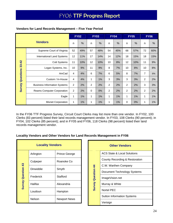|                               | <b>Vendors</b>                      |                |     | <b>FY03</b>    |               | <b>FY04</b>    |               | <b>FY05</b>     |       | <b>FY06</b> |               |
|-------------------------------|-------------------------------------|----------------|-----|----------------|---------------|----------------|---------------|-----------------|-------|-------------|---------------|
|                               |                                     |                |     | n              | $\frac{0}{0}$ | n              | $\frac{0}{0}$ | n               | $\%$  | n           | $\frac{0}{0}$ |
|                               | Supreme Court of Virginia           | 52             | 49% | 57             | 48%           | 54             | 45%           | 68              | 57%   | 72          | 60%           |
|                               | International Land Systems          | 12             | 11% | 17             | 14%           | 14             | 12%           | 18              | 15%   | 18          | 15%           |
|                               | Cott Systems                        | 11             | 10% | 12             | 10%           | 10             | 8%            | 12 <sup>°</sup> | 10%   | 11          | 9%            |
|                               | Logan Systems, Inc.                 | 10             | 9%  | 11             | 9%            | 8              | 7%            | 10              | 8%    | 10          | 8%            |
|                               | AmCad                               | 4              | 4%  | 6              | 7%            | 6              | 5%            | 8               | 7%    | 7           | 6%            |
| <b>Survey Questions 33-42</b> | Custom / In-House                   | 4              | 4%  | 1              | 1%            | 3              | 3%            | 3               | 3%    | 2           | 2%            |
|                               | <b>Business Information Systems</b> | $\overline{c}$ | 2%  | $\overline{2}$ | 2%            | $\overline{c}$ | 2%            | $\overline{2}$  | 2%    | 3           | 3%            |
|                               | <b>Reams Computer Corporation</b>   | $\overline{c}$ | 2%  | $\mathbf 0$    | 0%            | $\overline{c}$ | 2%            | 2               | 2%    | 2           | 2%            |
|                               | Eagle                               | 1              | 1%  | 1              | 1%            | 1              | 1%            | 1               | 1%    | 1           | $1\%$         |
|                               | <b>Mixnet Corporation</b>           | 1              | 1%  | 1              | 1%            | 1              | 1%            | 0               | $0\%$ | 1           | $1\%$         |

#### **Vendors for Land Records Management – Five Year Period**

In the FY06 TTF Progress Survey, Circuit Court Clerks may list more than one vendor. In FY02, 100 Clerks (83 percent) listed their land records management vendor. In FY03, 108 Clerks (90 percent); in FY04, 102 Clerks (85 percent); and in FY05 and FY06, 118 Clerks (98 percent) listed their land records management vendor.

#### **Locality Vendors and Other Vendors for Land Records Management in FY06**

| <b>Locality Vendors</b>   |  |           |                     |  |  |  |  |  |  |
|---------------------------|--|-----------|---------------------|--|--|--|--|--|--|
|                           |  | Arlington | Prince George       |  |  |  |  |  |  |
| <b>Survey Question 43</b> |  | Culpeper  | Roanoke Co          |  |  |  |  |  |  |
|                           |  | Dinwiddie | Smyth               |  |  |  |  |  |  |
|                           |  | Frederick | Stafford            |  |  |  |  |  |  |
|                           |  | Halifax   | Alexandria          |  |  |  |  |  |  |
|                           |  | Loudoun   | Hampton             |  |  |  |  |  |  |
|                           |  | Nelson    | <b>Newport News</b> |  |  |  |  |  |  |

|                           | <b>Other Vendors</b>              |
|---------------------------|-----------------------------------|
|                           | ACS State & Local Solutions       |
|                           | County Recording & Restoration    |
|                           | C.W. Warthen Company              |
|                           | Document Technology Systems       |
|                           | ImageVision.net                   |
| <b>Survey Question 44</b> | Murray & White                    |
|                           | Nortel PEC                        |
|                           | <b>Sutton Information Systems</b> |
|                           | Verisign                          |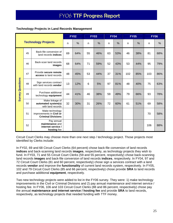#### **Technology Projects in Land Records Management**

|                         | <b>Technology Projects</b> |                                                                          |    | <b>FY02</b>   |    | <b>FY03</b>   |    | <b>FY04</b>   |     | <b>FY05</b> | <b>FY06</b> |     |
|-------------------------|----------------------------|--------------------------------------------------------------------------|----|---------------|----|---------------|----|---------------|-----|-------------|-------------|-----|
|                         |                            |                                                                          |    | $\frac{0}{0}$ | n  | $\frac{0}{0}$ | n  | $\frac{0}{0}$ | n   | $\%$        | n           | %   |
|                         | 45                         | Back-file conversion of<br>land records indices                          | 69 | 64%           | 55 | 46%           | 63 | 53%           | 46  | 38%         | 81          | 68% |
|                         | 46                         | Back-scan land records<br>images                                         | 68 | 64%           | 71 | 59%           | 52 | 43%           | 53  | 44%         | 95          | 79% |
|                         | 47                         | Provide secure remote<br>access to land records                          | 48 | 45%           | 53 | 44%           | 37 | 31%           | 102 | 85%         | 103         | 86% |
| <b>Survey Questions</b> | 48                         | Sign services contract<br>with land records vendor                       | 13 | 12%           | 6  | 5%            | 97 | 81%           | 48  | 40%         | 75          | 63% |
|                         | 49                         | Purchase additional<br>technology equipment                              | 44 | 41%           | 46 | 38%           | 59 | 49%           | 79  | 66%         | 93          | 78% |
|                         | 50                         | Make linkage of<br>automated system(s)<br>with land records              | 32 | 30%           | 31 | 26%           | 72 | 60%           | 61  | 51%         | 69          | 58% |
|                         | 51                         | Make technology<br>improvements in Civil or<br><b>Criminal Divisions</b> |    |               |    |               |    |               |     |             | 70          | 58% |
|                         | 52                         | Pay annual<br>maintenance and<br>internet service /<br>hosting fee       |    |               |    |               |    |               |     |             | 106         | 88% |

Circuit Court Clerks may choose more than one next step / technology project. Those projects most identified by Clerks include:

In FY02, 69 and 68 Circuit Court Clerks (64 percent) chose back-file conversion of land records **indices** and back-scanning land records **images**, respectively, as technology projects they wish to fund. In FY03, 71 and 55 Circuit Court Clerks (59 and 55 percent, respectively) chose back-scanning land records **images** and back-file conversion of land records **indices**, respectively. In FY04, 97 and 72 Circuit Court Clerks (81 and 60 percent, respectively) chose sign a services contract with a land records **vendor** and improve the **functionality** of current land records system, respectively. In FY05, 102 and 79 Circuit Court Clerks (85 and 66 percent, respectively) chose provide **SRA** to land records and purchase additional **equipment**, respectively.

Two new technology projects were added to list in the FY06 survey. They were: 1) make technology improvements in the Civil or Criminal Divisions and 2) pay annual maintenance and internet service / hosting fee. In FY06, 106 and 103 Circuit Court Clerks (88 and 86 percent, respectively) chose pay the annual **maintenance and internet service / hosting fee** and provide **SRA** to land records, respectively, as technology projects that needed funding with TTF money.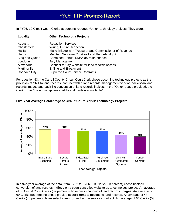In FY06, 10 Circuit Court Clerks (8 percent) reported **"**other" technology projects. They were:

| Locality       | <b>Other Technology Projects</b>                        |
|----------------|---------------------------------------------------------|
| Augusta        | <b>Redaction Services</b>                               |
| Chesterfield   | Wiring, Future Redaction                                |
| Halifax        | Make linkage with Treasurer and Commissioner of Revenue |
| Henry          | Maintain Supreme Court as Land Records Mgmt             |
| King and Queen | <b>Combined Annual RMS/RIS Maintenance</b>              |
| Loudoun        | Jury Management                                         |
| Alexandria     | Connect to City Website for land records access         |
| Martinsville   | E-filing and E-payment                                  |
| Roanoke City   | <b>Supreme Court Service Contracts</b>                  |

For question 53, the Carroll County Circuit Court Clerk chose upcoming technology projects as the provision of SRA to land records, contract with a land records management vendor, back-scan land records images and back-file conversion of land records indices. In the "Other" space provided, the Clerk wrote "the above applies if additional funds are available".



#### **Five-Year Average Percentage of Circuit Court Clerks' Technology Projects**

In a five-year average of the data, from FY02 to FY06, 63 Clerks (53 percent) chose back-file conversion of land records **indices** on a court-controlled website as a technology project. An average of 68 Circuit Court Clerks (57 percent) chose back scanning of land records **images**. An average of 69 Clerks (58 percent) chose provide **secure remote access** to land records. An average of 48 Clerks (40 percent) chose select a **vendor** and sign a services contract. An average of 64 Clerks (53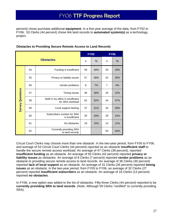percent) chose purchase additional **equipment**. In a five-year average of the data, from FY02 to FY06, 53 Clerks (44 percent) chose link land records to **automated system(s)** as a technology project.

|                         |                             |                                                        |    | <b>FY05</b> |                | <b>FY06</b> |
|-------------------------|-----------------------------|--------------------------------------------------------|----|-------------|----------------|-------------|
|                         | <b>Obstacles</b>            |                                                        | n  | %           | n              | %           |
|                         | 54                          | Funding is insufficient                                | 59 | 49%         | 35             | 29%         |
|                         | 55                          | Privacy or liability issues                            | 57 | 48%         | 42             | 35%         |
|                         | 56<br>Vendor problems       |                                                        | 8  | 7%          | $\overline{7}$ | 6%          |
| <b>Survey Questions</b> | 57                          | Timing issues                                          | 36 | 30%         | 26             | 22%         |
|                         | 58                          | Staff in my office is insufficient<br>for SRA workload | 62 | 52%         | 44             | 37%         |
|                         | 59<br>Local support lacking |                                                        | 37 | 31%         | 34             | 28%         |
|                         | 60                          | Subscribers number for SRA<br>is insufficient          | 35 | 29%         | 29             | 24%         |
|                         | 61                          | No obstacles                                           | 18 | 15%         | 14             | 12%         |
|                         | 62                          | <b>Currently providing SRA</b><br>to land records      |    |             | 53             | 44%         |

#### **Obstacles to Providing Secure Remote Access to Land Records**

Circuit Court Clerks may choose more than one obstacle. In the two-year period, from FY05 to FY06, and average of 53 Circuit Court Clerks (44 percent) reported as an obstacle **insufficient staff** to handle the secure remote access workload. An average of 47 Clerks (39 percent), reported **insufficient funding** as an obstacle. An average of 50 Clerks (42 percent) reported **privacy or liability issues** as obstacles. An average of 8 Clerks (7 percent) reported **vendor problems** as an obstacle to providing secure remote access to land records. An average of 36 Clerks (30 percent) reported **lack of local support** as an obstacle. An average of 31 Clerks (26 percent) reported **timing issues** as an obstacle. In the two-year period, from FY05 to FY06, an average of 32 Clerks (27 percent) reported **insufficient subscribers** as an obstacle. An average of 16 Clerks (13 percent) reported **no obstacles**.

In FY06, a new option was added to the list of obstacles. Fifty-three Clerks (44 percent) reported to be **currently providing SRA to land records**. (Note: Although 59 Clerks "certified" to currently providing SRA).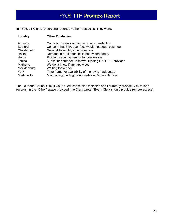In FY06, 11 Clerks (9 percent) reported **"**other" obstacles. They were:

| <b>Locality</b> | <b>Other Obstacles</b>                                |
|-----------------|-------------------------------------------------------|
| Augusta         | Conflicting state statutes on privacy / redaction     |
| <b>Bedford</b>  | Concern that SRA user fees would not equal copy fee   |
| Chesterfield    | <b>General Assembly indecisiveness</b>                |
| Halifax         | Demand in rural counties is not evident today         |
| Henry           | Problem securing vendor for conversion                |
| Louisa          | Subscriber number unknown, funding OK if TTF provided |
| <b>Mathews</b>  | We don't know if any apply yet                        |
| Mecklenburg     | Waiting for vendor                                    |
| York            | Time frame for availability of money is inadequate    |
| Martinsville    | Maintaining funding for upgrades - Remote Access      |

The Loudoun County Circuit Court Clerk chose No Obstacles and I currently provide SRA to land records. In the "Other" space provided, the Clerk wrote, "Every Clerk should provide remote access".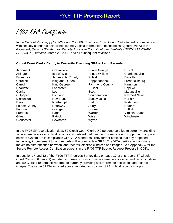FY07 SRA Certification

In the Code of Virginia, §§ 17.1-279 and 2.2-3808.2 require Circuit Court Clerks to certify compliance with security standards established by the Virginia Information Technologies Agency (VITA) in the document, *Security Standard for Remote Access to Court Controlled Websites (ITRM STANDARD SEC503-02)*, effective March 28, 2005, and all subsequent revisions.

#### **Circuit Court Clerks Certify to Currently Providing SRA to Land Records**

Gloucester **Powhatan** Wythe

Accomack Greensville **Britannice George** Bristol Arlington **Isle of Wight Prince William** Charlottesville Brunswick James City County Pulaski Danville Caroline **King and Queen** Rappahannock **Fredericksburg** Carroll **King George** Richmond County Hampton Charlotte **Charlotte** Lancaster Russell **Hopewell** Clarke **Lee** Lee Scott Martinsville Culpeper Loudoun Southampton Newport News Dickenson New Kent Spotsylvania Norfolk Essex Northampton Stafford Portsmouth Fairfax County **Nottoway** Surry Surry Radford Fauquier Crange Sussex Suffolk Frederick Page Warren Virginia Beach Giles Patrick Wise Winchester

In the FY07 SRA certification data, 59 Circuit Court Clerks (49 percent) certified to currently providing secure remote access to land records and certified that their court's website and supporting computer network system are in compliance with VITA standards. They further certified that any proposed technology improvement to land records will accommodate SRA. The VITA certification language makes no differentiation between land records' electronic indices and images. See Appendix 4 for the Secure Remote Access Certification screens in the FY07 TTF Budget Request Process in COIN.

In questions 4 and 12 of the FY06 TTF Progress Survey data on page 17 of this report, 67 Circuit Court Clerks (56 percent) reported to currently providing secure remote access to land records indices and 59 Clerks (49 percent) reported to currently providing secure remote access to land records images. The same 59 Clerks listed above, reported to providing SRA to land records images.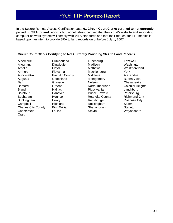In the Secure Remote Access Certification data, **61 Circuit Court Clerks certified to not currently providing SRA to land records** but, nonetheless, certified that their court's website and supporting computer network system will comply with VITA standards and that their request for TTF monies is based upon an intent to provide SRA to land records on or before July 1, 2007.

#### **Circuit Court Clerks Certifying to Not Currently Providing SRA to Land Records**

Albemarle Cumberland Lunenburg Tazewell Alleghany Dinwiddie Madison Washington Amelia **Floyd** Floyd Mathews Westmoreland Amherst Fluvanna Mecklenburg York Appomattox Franklin County Middlesex Alexandria Augusta **Goochland** Montgomery Buena Vista Bath Grayson Nelson Newson Chesapeake Bedford Greene Northumberland Colonial Heights Bland Halifax Pittsylvania Lynchburg Botetourt **Hanover** Prince Edward Petersburg Buchanan **Henrico** Roanoke County Richmond City Buckingham Henry Rockbridge Roanoke City Campbell **Highland** Rockingham Salem Charles City County King William Shenandoah Staunton Chesterfield Louisa **Chesterfield** Louisa **Smyth** Waynesboro Craig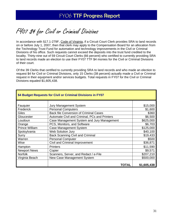# FY07 \$4 for Civil or Criminal Divisions

In accordance with §17.1-279F, Code of Virginia, if a Circuit Court Clerk provides SRA to land records on or before July 1, 2007, then that clerk may apply to the Compensation Board for an allocation from the Technology Trust Fund for automation and technology improvements in the Civil or Criminal Divisions of his office. Such requests cannot exceed the deposits into the trust fund credited to the locality. Thirty-nine out of 59 Circuit Court Clerks (66 percent) who certified to currently providing SRA to land records made an election to use their FY07 TTF \$4 monies for the Civil or Criminal Divisions of their court.

Of the 39 Clerks that certified to currently providing SRA to land records and who made an election to request \$4 for Civil or Criminal Divisions, only 15 Clerks (38 percent) actually made a Civil or Criminal request in their equipment and/or services budgets. Total requests in FY07 for the Civil or Criminal Divisions equaled \$1,605,438.

| \$4 Budget Requests for Civil or Criminal Divisions in FY07 |                                               |             |  |
|-------------------------------------------------------------|-----------------------------------------------|-------------|--|
|                                                             |                                               |             |  |
| Fauquier                                                    | Jury Management System                        | \$15,000    |  |
| Frederick                                                   | <b>Personal Computers</b>                     | \$1,600     |  |
| Giles                                                       | <b>Back file Conversion of Criminal Cases</b> | \$360       |  |
| Gloucester                                                  | Automate Civil and Criminal, PCs and Printers | \$6,500     |  |
| Loudoun                                                     | Case Management System and Jury Management    | \$625,000   |  |
| Orange                                                      | PCS, Monitors, and Software                   | \$6,703     |  |
| <b>Prince William</b>                                       | Case Management System                        | \$125,000   |  |
| Spotsylvania                                                | Web Solution Jury                             | \$40,100    |  |
| Surry                                                       | <b>Back Scanning Civil and Criminal</b>       | \$19,433    |  |
| Warren                                                      | <b>Personal Computer</b>                      | \$500       |  |
| Wise                                                        | Civil and Criminal Improvement                | \$36,871    |  |
| Hampton                                                     | <b>Printers</b>                               | \$11,590    |  |
| <b>Newport News</b>                                         | Copier                                        | \$9,571     |  |
| Norfolk                                                     | Scanners, Server, and Redact / e-File         | \$207,210   |  |
| Virginia Beach                                              | New Case Management System                    | \$500,000   |  |
|                                                             | TOTAL                                         | \$1,605,438 |  |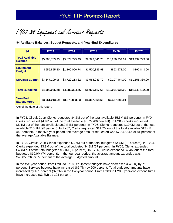FY07 \$4 Equipment and Services Requests

**\$4 Available Balances, Budget Requests, and Year-End Expenditures** 

| \$4                                      | <b>FY03</b>    | <b>FY04</b>    | <b>FY05</b>    | <b>FY06</b>     | <b>FY07*</b>    |
|------------------------------------------|----------------|----------------|----------------|-----------------|-----------------|
| <b>Total Available</b><br><b>Balance</b> | \$5,280,783.93 | \$5,674,725.49 | \$9,923,541.20 | \$10,230,354.61 | \$13,437,799.00 |
| <b>Equipment</b><br><b>Budget</b>        | \$655,855.30   | \$1,160,090.74 | \$1,500,883.98 | \$893,571.00    | \$192,843.00    |
| <b>Services Budget</b>                   | \$3,847,209.98 | \$3,722,213.82 | \$3,565,233.70 | \$9,107,464.00  | \$11,556,339.00 |
| <b>Total Budgeted</b>                    | \$4,503,065.28 | \$4,882,304.56 | \$5,066,117.68 | \$10,001,035.00 | \$11,749,182.00 |
| <b>Year-End</b><br><b>Expenditures</b>   | \$3,661,213.59 | \$3,276,833.63 | \$4,367,868.63 | \$7,437,389.01  |                 |

\*As of the date of this report.

In FY03, Circuit Court Clerks requested \$4.5M out of the total available \$5.3M (85 percent). In FY04, Clerks requested \$4.9M out of the total available \$5.7M (86 percent). In FY05, Clerks requested \$5.1M out of the total available \$9.9M (51 percent). In FY06, Clerks requested \$10.0M out of the total available \$10.2M (98 percent). In FY07, Clerks requested \$11.7M out of the total available \$13.4M (87 percent). In the five-year period, the average amount requested was \$7,240,340, or 81 percent of the average Available Balance.

In FY03, Circuit Court Clerks expended \$3.7M out of the total budgeted \$4.5M (81 percent). In FY04, Clerks expended \$3.3M out of the total budgeted \$4.9M (67 percent). In FY05, Clerks expended \$4.4M out of the total budgeted \$5.1M (86 percent). In FY06, Clerks expended \$7.4M out of the total budgeted \$10.0M (74 percent). In the four-year period, the average amount expended was \$4,685,826, or 77 percent of the average Budgeted amount.

In the five-year period, from FY03 to FY07, equipment budgets have decreased (\$463K) by 71 percent. Services budgets have increased (\$7.7M) by 200 percent. Total budgeted amounts have increased by 161 percent (\$7.2M) in the five-year period. From FY03 to FY06, year-end expenditures have increased (\$3.8M) by 103 percent.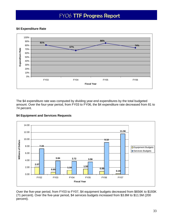#### **\$4 Expenditure Rate**



The \$4 expenditure rate was computed by dividing year-end expenditures by the total budgeted amount. Over the four-year period, from FY03 to FY06, the \$4 expenditure rate decreased from 81 to 74 percent.



#### **\$4 Equipment and Services Requests**

Over the five-year period, from FY03 to FY07, \$4 equipment budgets decreased from \$656K to \$193K (71 percent). Over the five-year period, \$4 services budgets increased from \$3.8M to \$11.5M (200 percent).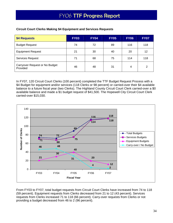| \$4 Requests                               | <b>FY03</b> | <b>FY04</b> | <b>FY05</b> | <b>FY06</b> | <b>FY07</b> |
|--------------------------------------------|-------------|-------------|-------------|-------------|-------------|
| <b>Budget Request</b>                      | 74          | 72          | 89          | 116         | 118         |
| <b>Equipment Request</b>                   | 21          | 30          | 40          | 20          | 12          |
| Services Request                           | 71          | 68          | 75          | 114         | 118         |
| Carryover Request or No Budget<br>Provided | 46          | 48          | 31          | 4           | 2           |

#### **Circuit Court Clerks Making \$4 Equipment and Services Requests**

In FY07, 120 Circuit Court Clerks (100 percent) completed the TTF Budget Request Process with a \$4 Budget for equipment and/or services (118 Clerks or 98 percent) or carried-over their \$4 available balance to a future fiscal year (two Clerks). The Highland County Circuit Court Clerk carried-over a \$0 available balance and made a \$1 budget request of \$41,500. The Hopewell City Circuit Court Clerk carried-over \$15,030.



From FY03 to FY07, total budget requests from Circuit Court Clerks have increased from 74 to 118 (59 percent). Equipment requests from Clerks decreased from 21 to 12 (43 percent). Services requests from Clerks increased 71 to 118 (66 percent). Carry-over requests from Clerks or not providing a budget decreased from 46 to 2 (96 percent).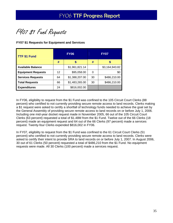FY07 \$1 Fund Requests

#### **FY07 \$1 Requests for Equipment and Services**

| <b>TTF \$1 Fund</b>       | <b>FY06</b> |                | <b>FY07</b> |                |
|---------------------------|-------------|----------------|-------------|----------------|
|                           | #           | S              | #           | S              |
| <b>Available Balance</b>  |             | \$1,961,821.14 |             | \$3,164,943.82 |
| <b>Equipment Requests</b> | 12          | \$95,058.00    | 0           | \$0            |
| <b>Services Requests</b>  | 64          | \$1,388,207.00 | 30          | \$486,210.00   |
| <b>Total Requests</b>     | 66          | \$1,483,265.00 | 30          | \$486,210.00   |
| <b>Expenditures</b>       | 24          | \$816,002.00   |             |                |

In FY06, eligibility to request from the \$1 Fund was confined to the 105 Circuit Court Clerks (88 percent) who certified to not currently providing secure remote access to land records. Clerks making a \$1 request were asked to certify a shortfall of technology funds needed to achieve the goal set by the General Assembly of providing secure remote access to land records on or before July 1, 2006. Including one mid-year docket request made in November 2005, 66 out of the 105 Circuit Court Clerks (63 percent) requested a total of \$1.48M from the \$1 Fund. Twelve out of the 66 Clerks (18 percent) made an equipment request and 64 out of the 66 Clerks (97 percent) made a services request. Twenty-four Clerks expended \$816,002 in FY06.

In FY07, eligibility to request from the \$1 Fund was confined to the 61 Circuit Court Clerks (51 percent) who certified to not currently providing secure remote access to land records. Clerks were asked to certify their intent to provide SRA to land records on or before July 1, 2007. In August 2006, 30 out of 61 Clerks (50 percent) requested a total of \$486,210 from the \$1 Fund. No equipment requests were made. All 30 Clerks (100 percent) made a services request.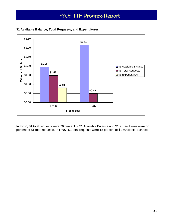

**\$1 Available Balance, Total Requests, and Expenditures** 

In FY06, \$1 total requests were 76 percent of \$1 Available Balance and \$1 expenditures were 55 percent of \$1 total requests. In FY07, \$1 total requests were 15 percent of \$1 Available Balance.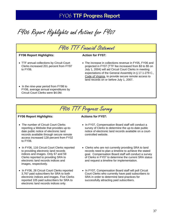FY06 Report Highlights and Actions for FY07



FY06 TTF Progress Survey

#### **FY06 Report Highlights:** Actions for FY07:

- The number of Circuit Court Clerks reporting a Website that provides up-todate public notice of electronic land records available through secure remote access increased 128 percent from FY02 to FY06.
- In FY06, 116 Circuit Court Clerks reported to providing electronic land records indices and images. Only 67 and 59 Clerks reported to providing SRA to electronic land records indices and images, respectively.
- In FY06, 26 Circuit Court Clerks reported 3,767 paid subscribers for SRA to both electronic indices and images. Five Clerks reported 105 paid subscribers for SRA to electronic land records indices only.

- In FY07, Compensation Board staff will conduct a survey of Clerks to determine the up-to-date public notice of electronic land records available on a courtcontrolled website.
- Clerks who are not currently providing SRA to land records need to plan a timeline to achieve the stated goal. Compensation Board staff will conduct a survey of Clerks in FY07 to determine the current SRA status and request a timeline for implementation.
- In FY07, Compensation Board staff will poll Circuit Court Clerks who currently have paid subscribers to SRA in order to determine best practices for successfully attracting paid subscribers.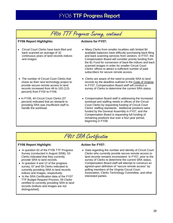## FY06 TTF Progress Survey, continued

#### **FY06 Report Highlights:** Actions for FY07:

• Circuit Court Clerks have back-filed and back scanned an average of 32 continuous years of land records indices and images.

• The number of Circuit Court Clerks that chose as their next technology project to provide secure remote access to land records increased from 48 to 103 (115

percent) from FY02 to FY06.

• In FY06, 44 Circuit Court Clerks (37 percent) indicated that an obstacle to providing SRA was insufficient staff to

- Many Clerks from smaller localities with limited \$4 available balances have difficulty purchasing back-filing and back scanning services from vendors. In FY07, the Compensation Board will consider priority funding from the \$1 Fund for conversion of back-file indices and back scanned images in order for smaller Circuit Court Clerks' offices to attract a sufficient number of paid subscribers for secure remote access.
- Clerks are aware of the need to provide SRA to land records by the deadline outlined in the Code of Virginia. In FY07, Compensation Board staff will conduct a survey of Clerks to determine the current SRA status.
	- Compensation Board staff is addressing the increased workload and staffing needs in offices of the Circuit Court Clerks by requesting funding of Circuit Court Clerks' staffing standards. Additional positions were funded by the General Assembly in FY07, and the Compensation Board is requesting full funding of remaining positions due over a four-year period, beginning in FY08.

## FY07 SRA Certification

#### **FY06 Report Highlight:** Action for FY07:

handle the workload.

- In question 62 of the FY06 TTF Progress Survey (conducted in August 2006), 53 Clerks indicated that they currently provide SRA to land records.
- In question 4 and 12 of the progress survey, 67 and 59 Clerks indicated to currently providing SRA to land records indices and images, respectively.
- In the SRA Certification data of the FY07 TTF Budget Request Process, 59 Clerks certified to currently providing SRA to land records (indices and images are not distinguished).

• Data regarding the number and identity of Circuit Court Clerks who currently provide secure remote access to land records remains inconsistent. In FY07, prior to the survey of Clerks to determine the current SRA status, Compensation Board staff will attempt to construct an agreed-upon definition of "secure remote access" by polling members of the Virginia Circuit Court Association, Clerks Technology Committee, and other interested parties.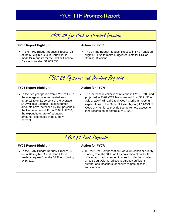FY07 \$4 for Civil or Criminal Divisions

#### **FY06 Report Highlight:** Action for FY07:

• In the FY07 Budget Request Process, 16 of the 59 eligible Circuit Court Clerks made \$4 requests for the Civil or Criminal Divisions, totaling \$1,603,838.

• The on-line Budget Request Process in FY07 enabled eligible Clerks to make budget requests for Civil or Criminal Divisions.



#### **FY06 Report Highlight:** Action for FY07:

• In the five-year period from FY03 to FY07, the average amount requested was \$7,240,340 or 81 percent of the average \$4 Available Balance. Total budgeted amounts have increased by 161 percent in the five-year period. From FY03 to FY06, the expenditure rate (of budgeted amounts) decreased from 81 to 74 percent.

The increase in collections revenue in FY05, FY06 and projected in FY07 (TTF fee increased from \$3 to \$5 on July 1, 2004) will aid Circuit Court Clerks in meeting expectations of the General Assembly in § 17.1-279 C., Code of Virginia, to provide secure remote access to land records on or before July 1, 2007.

## FY07 \$1 Fund Requests

#### **FY06 Report Highlight:** Action for FY07:

• In the FY07 Budget Request Process, 30 out of 61 eligible Circuit Court Clerks made a request from the \$1 Fund, totaling \$486,210.

• In FY07, the Compensation Board will consider priority funding from the \$1 Fund for conversion of back-file indices and back scanned images in order for smaller Circuit Court Clerks' offices to attract a sufficient number of subscribers for secure remote access subscription.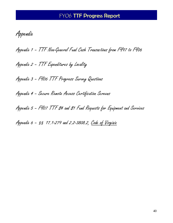Appendix

Appendix 1 – TTF Non-General Fund Cash Transactions from FY97 to FY06

Appendix 2 – TTF Expenditures by Locality

Appendix 3 – FY06 TTF Progress Survey Questions

Appendix 4 – Secure Remote Access Certification Screens

Appendix 5 - F407 TTF 84 and 81 Fund Requests for Equipment and Services

Appendix 6 - 55 17.1-279 and 2.2-3808.2, Code of Virginia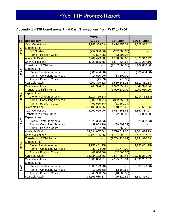## **Appendix 1 – TTF Non-General Fund Cash Transactions from FY97 to FY06**

|             |                                    | <b>TOTAL</b>   |                  |                             |
|-------------|------------------------------------|----------------|------------------|-----------------------------|
| <b>FY</b>   | <b>Budget item</b>                 | $$3/$ \$5      | \$1 Funds        | \$2/\$4 Funds               |
| <b>FY97</b> | <b>Cash Collections</b>            | 4,243,368.63   | 1,414,456.21     | 2,828,912.42                |
|             | <b>Expenditures:</b>               |                |                  |                             |
|             | <b>DIT Studies</b>                 | (252, 388.00)  | (252, 388.00)    |                             |
|             | <b>Admin - Position Costs</b>      | (3,507.25)     | (3,507.25)       |                             |
|             | <b>Available Cash</b>              | 3,987,473.38   | 1,158,560.96     | 2,828,912.42                |
|             | Cash Collections                   | 4,822,885.65   | 1,607,628.55     | 3,215,257.10                |
|             | Transfers to \$2/\$4 Funds         |                | (1, 162, 066.00) | 1,162,066.00                |
|             | Expenditures:                      |                |                  |                             |
| FY98        | <b>Clerks Reimbursements</b>       | (886, 404.38)  |                  | (886, 404.38)               |
|             | <b>Admin - Consulting Services</b> | (14,500.00)    | (14,500.00)      |                             |
|             | <b>Admin - Position Costs</b>      | (75.33)        | (75.33)          |                             |
|             | <b>Available Cash</b>              | 7,909,379.32   | 1,589,548.18     | 6,319,831.14                |
|             | <b>Cash Collections</b>            | 5,768,994.81   | 1,922,998.27     | 3,845,996.54                |
| <b>FY99</b> | <b>Transfers to \$2/\$4 Funds</b>  |                | (1,009,530.00)   | 1,009,530.00                |
|             | <b>Expenditures:</b>               |                |                  |                             |
|             | <b>Clerks Reimbursements</b>       | (2,214,766.33) |                  | $\overline{(2,214,766.33)}$ |
|             | <b>Admin - Consulting Services</b> | (302, 750.71)  | (302, 750.71)    |                             |
|             | <b>Admin - Position Costs</b>      | (51, 550.14)   | (51, 550.14)     |                             |
|             | <b>Available Cash</b>              | 11,109,306.95  | 2,148,715.60     | 8,960,591.35                |
|             | <b>Cash Collections</b>            | 5,051,605.90   | 1,683,868.63     | 3,367,737.27                |
|             | Transfers to \$2/\$4 Funds         |                | (2,000.00)       | 2,000.00                    |
|             | Expenditures:                      |                |                  |                             |
| <b>FY00</b> | <b>Clerks Reimbursements</b>       | (2,526,303.63) |                  | (2,526,303.63)              |
|             | <b>Admin - Consulting Services</b> | (39, 809.29)   | (39, 809.29)     |                             |
|             | <b>Admin - Position Costs</b>      | (762.29)       | (762.29)         |                             |
|             | <b>Available Cash</b>              | 13,594,037.64  | 3,790,012.65     | 9,804,024.99                |
|             | <b>Cash Collections</b>            | 5,122,196.96   | 1,707,398.99     | 3,414,797.97                |
|             | Transfers to \$2/\$4 Funds         |                | (2,784,920.69)   | 2,784,920.69                |
|             | Expenditures:                      |                |                  |                             |
| FY01        | <b>Clerks Reimbursements</b>       | (4,757,461.75) |                  | (4,757,461.75)              |
|             | <b>Admin - Consulting Services</b> | (81,774.00)    | (81, 774.00)     |                             |
|             | <b>Admin - Position Costs</b>      | (42,866.50)    | (42,866.50)      |                             |
|             | <b>Available Cash</b>              | 13,834,132.35  | 2,587,850.45     | 11,246,281.90               |
|             | <b>Cash Collections</b>            | 6,586,856.51   | 2,195,618.84     | 4,391,237.67                |
|             | Expenditures:                      |                |                  |                             |
| FY02        | <b>Clerks Reimbursements</b>       | (6,800,199.60) |                  | (6,800,199.60)              |
|             | <b>Admin - Consulting Services</b> | (13, 169.58)   | (13, 169.58)     |                             |
|             | Admin - Position Costs             | (40, 988.85)   | (40,988.85)      |                             |
|             | Available Cash                     | 13,566,630.83  | 4,729,310.86     | 8,837,319.97                |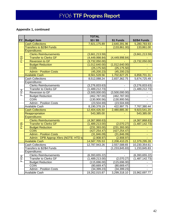## **Appendix 1, continued**

|                  |                                        | <b>TOTAL</b>     |                             |                      |
|------------------|----------------------------------------|------------------|-----------------------------|----------------------|
| <b>FY</b>        | <b>Budget item</b>                     | $$3/$ \$5        | \$1 Funds                   | <b>\$2/\$4 Funds</b> |
| FY <sub>03</sub> | <b>Cash Collections</b>                | 7,921,175.89     | 2,640,391.96                | 5,280,783.93         |
|                  | <b>Transfers to \$2/\$4 Funds</b>      |                  | (133, 861.00)               | 133,861.00           |
|                  | <b>Expenditures:</b>                   |                  |                             |                      |
|                  | <b>Clerks Reimbursements</b>           | (3,661,213.59)   |                             | (3,661,213.59)       |
|                  | <b>Transfer to Clerks GF</b>           | (4, 449, 998.84) | $\overline{(4,449,998.84)}$ |                      |
|                  | <b>Reversion to GF</b>                 | (3,732,050.00)   |                             | (3,732,050.00)       |
|                  | <b>Budget Reduction</b>                | (1,012,640.00)   | (1,012,640.00)              |                      |
|                  | <b>COIN</b>                            | (25, 175.50)     | (25, 175.50)                |                      |
|                  | <b>Admin - Position Costs</b>          | (45, 200.23)     | (45, 200.23)                |                      |
|                  | <b>Available Cash</b>                  | 8,561,528.56     | 1,702,827.25                | 6,858,701.31         |
|                  | <b>Cash Collections</b>                | 8,512,088.24     | 2,837,362.75                | 5,674,725.49         |
|                  | Expenditures:                          |                  |                             |                      |
|                  | <b>Clerks Reimbursements</b>           | (3,276,833.63)   |                             | (3,276,833.63)       |
|                  | <b>Transfer to Clerks GF</b>           | (1,489,212.73)   |                             | (1,489,212.73)       |
| FY04             | Reversion to GF                        | (3,500,000.00)   | (3,500,000.00)              |                      |
|                  | <b>Budget Reduction</b>                | (462, 787.00)    | (462, 787.00)               |                      |
|                  | <b>COIN</b>                            | (130,900.56)     | (130,900.56)                |                      |
|                  | <b>Admin - Position Costs</b>          | (23,504.69)      | (23,504.69)                 |                      |
|                  | <b>Available Cash</b>                  | 8,190,378.19     | 422,997.75                  | 7,767,380.44         |
|                  | <b>Cash Collections</b>                | 12,404,426.50    | 2,480,885.30                | 9,923,541.20         |
|                  | Reappropriation                        | 543,385.00       |                             | 543,385.00           |
|                  | <b>Expenditures:</b>                   |                  |                             |                      |
|                  | <b>Clerks Reimbursements</b>           | (4,367,868.63)   |                             | (4,367,868.63)       |
| <b>FY05</b>      | <b>Transfer to Clerks GF</b>           | (1,489,213.00)   | (2,070.27)                  | (1,487,142.73)       |
|                  | <b>Budget Reduction</b>                | (231, 393.00)    | (231, 393.00)               |                      |
|                  | <b>COIN</b>                            | (427, 254.47)    | (427, 254.47)               | $\blacksquare$       |
|                  | <b>Admin - Position Costs</b>          | (31, 846.09)     | (31, 846.09)                |                      |
|                  | Admin - DPB Approp Xfers (NOTE: HTD to | (2,908.97)       | (2,908.97)                  |                      |
|                  | <b>Available Cash</b>                  | 14,587,705.53    | 2,208,410.25                | 12,379,295.28        |
|                  | <b>Cash Collections</b>                | 12,787,943.26    | 2,557,588.65                | 10,230,354.61        |
|                  | Transfers to \$2/\$4 Funds             |                  | (1,233,845.83)              | 1,233,845.83         |
|                  | Expenditures:                          |                  |                             |                      |
| FY06             | <b>Clerks Reimbursements</b>           | (6,393,655.22)   | $\overline{a}$              | (6,393,655.22)       |
|                  | <b>Transfer to Clerks GF</b>           | (1,489,213.00)   | (2,070.27)                  | (1,487,142.73)       |
|                  | <b>Budget Reduction</b>                | (115, 696.00)    | (115, 696.00)               |                      |
|                  | <b>COIN</b>                            | (80, 669.47)     | (80, 669.47)                |                      |
|                  | <b>Admin - Position Costs</b>          | (34, 399.23)     | (34, 399.23)                |                      |
|                  | Available Cash                         | 19,262,015.87    | 3,299,318.10                | 15,962,697.77        |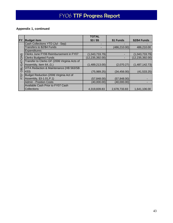## **Appendix 1, continued**

|            |                                              | <b>TOTAL</b>      |               |                   |
|------------|----------------------------------------------|-------------------|---------------|-------------------|
| <b>FY</b>  | <b>Budget item</b>                           | $$3/$ \$5         | \$1 Funds     | \$2/\$4 Funds     |
|            | Cash Collections YTD (Jul - Sep)             |                   |               |                   |
|            | Transfers to \$2/\$4 Funds                   |                   | (486, 210.00) | 486,210.00        |
|            | Expenditures:                                |                   |               |                   |
|            | Clerks June FY06 Reimbursement in FY07       | (1,043,733.79)    |               | (1,043,733.79)    |
| ONS        | <b>Clerks Budgeted Funds</b>                 | (12, 235, 392.00) |               | (12, 235, 392.00) |
|            | Transfer to Clerks GF (2006 Virginia Acts of |                   |               |                   |
| IGATI      | Assembly, Item 64., G.)                      | (1,489,213.00)    | (2,070.27)    | (1,487,142.73)    |
| <b>UBO</b> | VITA Redaction & Maintenance (HB 563/SB      |                   |               |                   |
|            | 433)                                         | (75,989.25)       | (34, 456.00)  | (41, 533.25)      |
| F707       | Budget Reduction (2006 Virginia Act of       |                   |               |                   |
|            | Assembly, §3-1.01, P.1)                      | (57, 848.00)      | (57, 848.00)  |                   |
|            | <b>Admin - Position Costs</b>                | (40,000.00)       | (40,000.00)   |                   |
|            | Available Cash Prior to FY07 Cash            |                   |               |                   |
|            | <b>Collections</b>                           | 4,319,839.83      | 2,678,733.83  | 1,641,106.00      |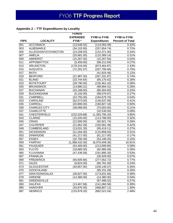## **Appendix 2 – TTF Expenditures by Locality**

|             |                      | <b>FUNDS</b>    |                     |                         |
|-------------|----------------------|-----------------|---------------------|-------------------------|
|             |                      | <b>EXPENDED</b> | FY98 to FY06        | FY98 to FY06            |
| <b>FIPS</b> | <b>LOCALITY</b>      | <b>FY06 *</b>   | <b>Expenditures</b> | <b>Percent of Total</b> |
| 001         | <b>ACCOMACK</b>      | (13,546.02)     | (114, 053.49)       | 0.32%                   |
| 003         | <b>ALBEMARLE</b>     | (34, 103.95)    | (257, 654.74)       | 0.72%                   |
| 005         | ALLEGHANY/COVINGTON  | (23, 209.00)    | (122, 371.00)       | 0.34%                   |
| 007         | <b>AMELIA</b>        | (20, 681.00)    | (110, 369.14)       | 0.31%                   |
| 009         | <b>AMHERST</b>       | (15, 267.50)    | (15, 267.50)        | 0.04%                   |
| 011         | <b>APPOMATTOX</b>    | (5,459.00)      | (98, 212.94)        | 0.27%                   |
| 013         | <b>ARLINGTON</b>     | (178, 316.00)   | (873, 464.87)       | 2.43%                   |
| 015         | <b>AUGUSTA</b>       | (72, 291.07)    | (267, 795.66)       | 0.75%                   |
| 017         | <b>BATH</b>          |                 | (41, 924.46)        | 0.12%                   |
| 019         | <b>BEDFORD</b>       | (21, 987.00)    | (267, 331.87)       | 0.74%                   |
| 021         | <b>BLAND</b>         | (23, 744.64)    | (95, 170.42)        | 0.26%                   |
| 023         | <b>BOTETOURT</b>     | (28, 790.00)    | (135, 461.42)       | 0.38%                   |
| 025         | <b>BRUNSWICK</b>     | (14,880.31)     | (99,994.31)         | 0.28%                   |
| 027         | <b>BUCHANAN</b>      | (33, 168.00)    | (86, 304.60)        | 0.24%                   |
| 029         | <b>BUCKINGHAM</b>    | (5, 150.00)     | (98,079.97)         | 0.27%                   |
| 031         | <b>CAMPBELL</b>      | (24, 755.00)    | (194, 679.70)       | 0.54%                   |
| 033         | <b>CAROLINE</b>      | (62,073.00)     | (146, 637.06)       | 0.41%                   |
| 035         | CARROLL              | (20, 890.00)    | (180, 827.18)       | 0.50%                   |
| 036         | <b>CHARLES CITY</b>  | (39,068.00)     | (75, 503.00)        | 0.21%                   |
| 037         | <b>CHARLOTTE</b>     |                 | (32, 530.05)        | 0.09%                   |
| 041         | <b>CHESTERFIELD</b>  | (232, 029.88)   | (1,383,795.20)      | 3.85%                   |
| 043         | <b>CLARKE</b>        | (15, 200.00)    | (113,788.00)        | 0.32%                   |
| 045         | <b>CRAIG</b>         | (12,000.00)     | (92, 921.74)        | 0.26%                   |
| 047         | <b>CULPEPER</b>      | (21, 852.28)    | (150, 581.38)       | 0.42%                   |
| 049         | <b>CUMBERLAND</b>    | (13,031.35)     | (95, 419.11)        | 0.27%                   |
| 051         | <b>DICKENSON</b>     | (21, 284.00)    | (110, 858.00)       | 0.31%                   |
| 053         | <b>DINWIDDIE</b>     | (41, 217.00)    | (61, 217.00)        | 0.17%                   |
| 057         | <b>ESSEX</b>         | (32, 766.49)    | (53, 108.20)        | 0.15%                   |
| 059         | <b>FAIRFAX</b>       | (1,388,432.00)  | (6,076,409.36)      | 16.91%                  |
| 061         | <b>FAUQUIER</b>      | (54, 469.00)    | (213, 699.80)       | 0.59%                   |
| 063         | <b>FLOYD</b>         | (18, 885.00)    | (92, 985.58)        | 0.26%                   |
| 065         | <b>FLUVANNA</b>      | (47, 436.58)    | (191, 895.35)       | 0.53%                   |
| 067         | <b>FRANKLIN</b>      |                 | (26,929.00)         | 0.07%                   |
| 069         | <b>FREDERICK</b>     | (65,605.66)     | (277, 562.72)       | 0.77%                   |
| 071         | <b>GILES</b>         | (9,824.00)      | (85,781.00)         | 0.24%                   |
| 073         | <b>GLOUCESTER</b>    | (40, 857.00)    | (109, 149.37)       | 0.30%                   |
| 075         | <b>GOOCHLAND</b>     |                 | (95, 151.28)        | 0.26%                   |
| 077         | <b>GRAYSON/GALAX</b> | (28, 627.00)    | (173, 631.56)       | 0.48%                   |
| 079         | <b>GREENE</b>        | (14, 380.00)    | (14,380.00)         | 0.04%                   |
| 081         | <b>GREENSVILLE</b>   |                 | (97, 489.32)        | 0.27%                   |
| 083         | <b>HALIFAX</b>       | (13, 467.68)    | (141,060.58)        | 0.39%                   |
| 085         | <b>HANOVER</b>       | (34, 876.05)    | (468, 807.11)       | 1.30%                   |
| 087         | <b>HENRICO</b>       | (133, 979.20)   | (892, 521.04)       | 2.48%                   |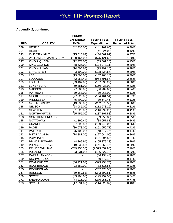#### **Appendix 2, continued**

|             |                              | <b>FUNDS</b>    |                     |                         |
|-------------|------------------------------|-----------------|---------------------|-------------------------|
|             |                              | <b>EXPENDED</b> | FY98 to FY06        | FY98 to FY06            |
| <b>FIPS</b> | <b>LOCALITY</b>              | <b>FY06 *</b>   | <b>Expenditures</b> | <b>Percent of Total</b> |
| 089         | <b>HENRY</b>                 | (42,730.00)     | (141, 169.65)       | 0.39%                   |
| 091         | <b>HIGHLAND</b>              |                 | (41, 924.00)        | 0.12%                   |
| 093         | <b>ISLE OF WIGHT</b>         | (15,616.67)     | (134, 567.92)       | 0.37%                   |
| 095         | <b>WILLIAMSBG/JAMES CITY</b> | (120, 164.00)   | (575, 121.60)       | 1.60%                   |
| 097         | <b>KING &amp; QUEEN</b>      | (12, 773.00)    | (53,061.28)         | 0.15%                   |
| 099         | <b>KING GEORGE</b>           | (8,535.00)      | (174, 273.11)       | 0.49%                   |
| 101         | <b>KING WILLIAM</b>          | (14,005.64)     | (99, 792.16)        | 0.28%                   |
| 103         | <b>LANCASTER</b>             | (43, 100.00)    | (108, 824.87)       | 0.30%                   |
| 105         | <b>LEE</b>                   | (13,800.00)     | (107, 968.18)       | 0.30%                   |
| 107         | <b>LOUDOUN</b>               | (72, 253.42)    | (954, 691.67)       | 2.66%                   |
| 109         | <b>LOUISA</b>                | (53, 407.00)    | (137, 630.22)       | 0.38%                   |
| 111         | <b>LUNENBURG</b>             | (59, 881.00)    | (150, 438.00)       | 0.42%                   |
| 113         | <b>MADISON</b>               | (7,685.00)      | (86, 789.05)        | 0.24%                   |
| 115         | <b>MATHEWS</b>               | (39,068.00)     | (39,068.00)         | 0.11%                   |
| 117         | <b>MECKLENBURG</b>           | (27, 228.00)    | (134, 461.54)       | 0.37%                   |
| 119         | <b>MIDDLESEX</b>             | (5,400.00)      | (39, 549.45)        | 0.11%                   |
| 121         | <b>MONTGOMERY</b>            | (13, 230.00)    | (202, 375.50)       | 0.56%                   |
| 125         | <b>NELSON</b>                | (28,085.00)     | (112, 678.26)       | 0.31%                   |
| 127         | <b>NEW KENT</b>              | (61, 926.00)    | (146, 299.26)       | 0.41%                   |
| 131         | <b>NORTHAMPTON</b>           | (55, 455.00)    | (137, 107.58)       | 0.38%                   |
| 133         | NORTHUMBERLAND               |                 | (89,953.88)         | 0.25%                   |
| 135         | <b>NOTTOWAY</b>              | (1, 399.44)     | (84, 657.81)        | 0.24%                   |
| 137         | ORANGE                       | (27, 599.53)    | (199, 742.06)       | 0.56%                   |
| 139         | <b>PAGE</b>                  | (30, 678.00)    | (151, 950.71)       | 0.42%                   |
| 141         | <b>PATRICK</b>               | (5,400.00)      | (48, 577.74)        | 0.14%                   |
| 143         | PITTSYLVANIA                 | (74, 881.00)    | (127, 644.00)       | 0.36%                   |
| 145         | <b>POWHATAN</b>              |                 | (121, 394.55)       | 0.34%                   |
| 147         | PRINCE EDWARD                | (8,369.94)      | (105, 379.33)       | 0.29%                   |
| 149         | PRINCE GEORGE                | (19,838.55)     | (141, 369.14)       | 0.39%                   |
| 153         | PRINCE WILLIAM               | (739, 250.00)   | (2,573,652.80)      | 7.16%                   |
| 155         | <b>PULASKI</b>               | (23, 231.00)    | (186, 427.78)       | 0.52%                   |
| 157         | <b>RAPPAHANNOCK</b>          |                 | (66, 134.43)        | 0.18%                   |
| 159         | RICHMOND CO.                 |                 | (60, 547.18)        | 0.17%                   |
| 161         | ROANOKE CO.                  | (56,921.03)     | (323, 253.74)       | 0.90%                   |
| 163         | <b>ROCKBRIDGE</b>            | (23, 380.00)    | (83, 516.85)        | 0.23%                   |
| 165         | <b>ROCKINGHAM</b>            |                 | (252, 473.50)       | 0.70%                   |
| 167         | <b>RUSSELL</b>               | (89, 662.53)    | (242,890.81)        | 0.68%                   |
| 169         | <b>SCOTT</b>                 | (83, 108.00)    | (195, 752.55)       | 0.54%                   |
| 171         | SHENANDOAH                   | (74, 216.00)    | (276, 255.36)       | 0.77%                   |
| 173         | <b>SMYTH</b>                 | (17,694.02)     | (144, 025.87)       | 0.40%                   |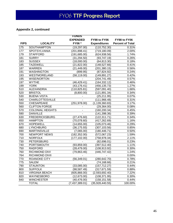#### **Appendix 2, continued**

|             |                         | <b>FUNDS</b>    |                     |                         |
|-------------|-------------------------|-----------------|---------------------|-------------------------|
|             |                         | <b>EXPENDED</b> | FY98 to FY06        | FY98 to FY06            |
| <b>FIPS</b> | <b>LOCALITY</b>         | <b>FY06 *</b>   | <b>Expenditures</b> | <b>Percent of Total</b> |
| 175         | SOUTHAMPTON             | (19, 297.00)    | (110, 752.30)       | 0.31%                   |
| 177         | <b>SPOTSYLVANIA</b>     | (201, 898.41)   | (719, 180.09)       | 2.00%                   |
| 179         | <b>STAFFORD</b>         | (191, 685.00)   | (624, 938.56)       | 1.74%                   |
| 181         | <b>SURRY</b>            | (31, 294.50)    | (93, 747.19)        | 0.26%                   |
| 183         | <b>SUSSEX</b>           | (18,000.00)     | (64, 813.30)        | 0.18%                   |
| 185         | <b>TAZEWELL</b>         | (21, 822.00)    | (148, 527.66)       | 0.41%                   |
| 187         | <b>WARREN</b>           | (21, 449.00)    | (201, 380.15)       | 0.56%                   |
| 191         | <b>WASHINGTON</b>       | (899.95)        | (87, 824.92)        | 0.24%                   |
| 193         | WESTMORELAND            | (58, 119.00)    | (149, 891.27)       | 0.42%                   |
| 195         | <b>WISE/NORTON</b>      |                 | (204, 741.49)       | 0.57%                   |
| 197         | <b>WYTHE</b>            | (46, 429.41)    | (164, 332.12)       | 0.46%                   |
| 199         | <b>YORK</b>             | (43, 176.41)    | (456, 135.73)       | 1.27%                   |
| 510         | <b>ALEXANDRIA</b>       | (110, 825.81)   | (597,091.40)        | 1.66%                   |
| 520         | <b>BRISTOL</b>          | (8,800.00)      | (121, 891.34)       | 0.34%                   |
| 530         | <b>BUENA VISTA</b>      |                 | (25, 211.95)        | 0.07%                   |
| 540         | <b>CHARLOTTESVILLE</b>  |                 | (111, 966.48)       | 0.31%                   |
| 550         | <b>CHESAPEAKE</b>       | (251, 978.00)   | (1, 139, 360.83)    | 3.17%                   |
| 560         | <b>CLIFTON FORGE</b>    |                 | (29, 364.00)        | 0.08%                   |
| 570         | <b>COLONIAL HEIGHTS</b> | $\blacksquare$  | (160, 200.34)       | 0.45%                   |
| 590         | <b>DANVILLE</b>         |                 | (141, 398.36)       | 0.39%                   |
| 630         | <b>FREDERICKSBURG</b>   | (27, 476.60)    | (122, 311.71)       | 0.34%                   |
| 650         | <b>HAMPTON</b>          | (70,078.60)     | (417, 262.69)       | 1.16%                   |
| 670         | <b>HOPEWELL</b>         | (14, 655.00)    | (105, 073.46)       | 0.29%                   |
| 680         | <b>LYNCHBURG</b>        | (36, 175.93)    | (307, 103.56)       | 0.85%                   |
| 690         | <b>MARTINSVILLE</b>     | (7,065.00)      | (180, 446.71)       | 0.50%                   |
| 700         | <b>NEWPORT NEWS</b>     | (182, 352.00)   | (572,067.23)        | 1.59%                   |
| 710         | <b>NORFOLK</b>          | (177, 102.00)   | (758, 978.34)       | 2.11%                   |
| 730         | <b>PETERSBURG</b>       |                 | (82, 696.01)        | 0.23%                   |
| 740         | PORTSMOUTH              | (93, 859.00)    | (397, 512.40)       | 1.11%                   |
| 750         | <b>RADFORD</b>          | (28, 479.00)    | (108, 913.92)       | 0.30%                   |
| 760         | RICHMOND DIVI           | (79,863.46)     | (446, 747.42)       | 1.24%                   |
| 764         | RICHMOND DIVII          |                 |                     | 0.00%                   |
| 770         | <b>ROANOKE CITY</b>     | (56, 349.01)    | (280, 642.70)       | 0.78%                   |
| 775         | SALEM                   |                 | (74, 168.66)        | 0.21%                   |
| 790         | <b>STAUNTON</b>         | (33,085.00)     | (157, 712.27)       | 0.44%                   |
| 800         | <b>SUFFOLK</b>          | (98,587.49)     | (317, 671.59)       | 0.88%                   |
| 810         | <b>VIRGINIA BEACH</b>   | (605, 866.00)   | (2,593,692.40)      | 7.22%                   |
| 820         | WAYNESBORO              | (12, 673.00)    | (108, 371.95)       | 0.30%                   |
| 840         | <b>WINCHESTER</b>       | (40, 476.00)    | (158, 151.58)       | $0.44\%$                |
|             | <b>TOTAL</b>            | (7,437,389.01)  | (35,928,440.55)     | 100.00%                 |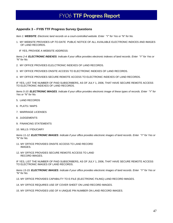#### **Appendix 3 – FY05 TTF Progress Survey Questions**

*Item 1: WEBSITE. Electronic land records on a court-controlled website. Enter "Y" for Yes or "N" for No.* 

1. MY WEBSITE PROVIDES UP-TO-DATE PUBLIC NOTICE OF ALL AVAILABLE ELECTRONIC INDICES AND IMAGES OF LAND RECORDS.

IF YES, PROVIDE A WEBSITE ADDRESS:

*Items 2-4: ELECTRONIC INDEXES. Indicate if your office provides electronic indexes of land records. Enter "Y" for Yes or "N" for No.* 

- 2. MY OFFICE PROVIDES ELELCTRONIC INDEXES OF LAND RECORDS.
- 3. MY OFFICE PROVIDES ONSITE ACCESS TO ELECTRONIC INDEXES OF LAND RECORDS.
- 4. MY OFFICE PROVIDES SECURE REMOTE ACCESS TO ELECTRONIC INDEXES OF LAND RECORDS.

IF YES, LIST THE NUMBER OF PAID SUBSCRIBERS, AS OF JULY 1, 2006, THAT HAVE SECURE REMOTE ACCESS TO ELECTRONIC INDEXES OF LAND RECORDS.

*Items 5-10: ELECTRONIC IMAGES. Indicate if your office provides electronic image of these types of records. Enter "Y" for Yes or "N" for No.* 

- 5. LAND RECORDS
- 6. PLATS / MAPS
- 7. MARRIAGE LICENSES
- 8. JUDGEMENTS
- 9. FINANCING STATEMENTS
- 10. WILLS / FIDUCIARY

*Items 11-12: ELECTRONIC IMAGES. Indicate if your office provides electronic images of land records. Enter "Y" for Yes or "N" for No.* 

- 11. MY OFFICE PROVIDES ONSITE ACCESS TO LAND RECORD IMAGES.
- 12. MY OFFICE PROVIDES SECURE REMOTE ACCESS TO LAND RECORD IMAGES.

IF YES, LIST THE NUMBER OF PAID SUBSCRIBERS, AS OF JULY 1, 2006, THAT HAVE SECURE REMOTE ACCESS TO ELECTRONIC IMAGES OF LAND RECORDS.

*Items 13-15: ELECTRONIC IMAGES. Indicate if your office provides electronic images of land records. Enter "Y" for Yes or "N" for No.* 

13. MY OFFICE PROVIDES CAPABILITY TO E-FILE (ELECTRONIC FILING) LAND RECORD IMAGES.

14. MY OFFICE REQUIRES USE OF COVER SHEET ON LAND RECORD IMAGES.

15. MY OFFICE PROVIDES USE OF A UNIQUE PIN NUMBER ON LAND RECORD IMAGES.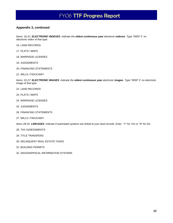#### **Appendix 3, continued**

*Items: 16-21: ELECTRONIC INDEXES. Indicate the oldest continuous year electronic indexes. Type "0000" if no electronic index of that type.* 

16. LAND RECORDS

- 17. PLATS / MAPS
- 18. MARRIAGE LICENSES
- 19. JUDGEMENTS
- 20. FINANCING STATEMENTS
- 21. WILLS / FIDUCIARY

*Items: 22-27: ELECTRONIC IMAGES. Indicate the oldest continuous year electronic images. Type "0000" if no electronic image of that type.* 

- 22. LAND RECORDS
- 23. PLATS / MAPS
- 24. MARRIAGE LICENSES
- 25. JUDGEMENTS
- 26. FINANCING STATEMENTS
- 27. WILLS / FIDUCIARY

*Items 28-32: LINKAGES. Indicate if automated systems are linked to your land records. Enter "Y" for Yes or "N" for No.* 

- 28. TAX ASSESSMENTS
- 29. TITLE TRANSFERS
- 30. DELINQUENT REAL ESTATE TAXES
- 31. BUILDING PERMITS
- 32. GEOGRAPHICAL INFORMATION SYSTEMS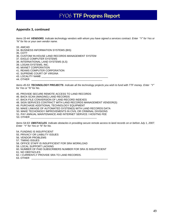#### **Appendix 3, continued**

*Items 33-44: VENDORS. Indicate technology vendors with whom you have signed a services contract. Enter "Y" for Yes or "N" for No or your own vendor name.* 

33. AMCAD

34. BUSINESS INFORMATION SYSTEMS (BIS)

35. COTT

36. CUSTOM/ IN-HOUSE LAND RECORDS MANAGEMENT SYSTEM

37. EAGLE COMPUTER SYSTEMS

38. INTERNATIONAL LAND SYSTEMS (ILS)

- 39. LOGAN SYSTEMS, INC.
- 40. MIXNET CORPORATION

41. REAMS COMPUTER CORPORATION

42. SUPREME COURT OF VIRGINA

43. LOCALITY NAME \_\_\_\_\_\_\_\_\_\_\_\_\_\_\_\_\_\_\_\_\_\_\_\_\_\_\_\_\_\_\_\_\_\_\_\_\_\_\_\_\_\_\_\_\_\_\_

44. OTHER \_\_\_\_\_\_\_\_\_\_\_\_\_\_\_\_\_\_\_\_\_\_\_\_\_\_\_\_\_\_\_\_\_\_\_\_\_\_\_\_\_\_\_\_\_\_\_\_\_\_

*Items 45-53: TECHNOLOGY PROJECTS. Indicate all the technology projects you wish to fund with TTF money. Enter "Y" for Yes or "N" for No.* 

45. PROVIDE SECURE REMOTE ACCESS TO LAND RECORDS

46. BACK-SCAN (IMAGING) LAND RECORDS

47. BACK-FILE CONVERSION OF LAND RECORD INDEXES

48. SIGN SERVICES CONTRACT WITH LAND RECORDS MANAGEMENT VENDOR(S)

49. PURCHASE ADDITIONAL TECHNOLOGY EQUIPMENT

50. MAKE LINKAGE OF AUTOMATED SYSTEM(S) WITH LAND RECORDS DATA

50. MAKE TECHONOGY IMPROVEMENTS IN CIVIL OR CRIMINAL DIVISIONS

51. PAY ANNUAL MAINTENANCE AND INTERNET SERVICE / HOSITNG FEE

53. OTHER \_\_\_\_\_\_\_\_\_\_\_\_\_\_\_\_\_\_\_\_\_\_\_\_\_\_\_\_\_\_\_\_\_\_\_\_\_\_\_\_\_\_\_\_\_\_\_

*Items 54-63: OBSTACLES. Indicate obstacles in providing secure remote access to land records on or before July 1, 2007. Enter "Y" for Yes or "N" for No.* 

54. FUNDING IS INSUFFICIENT 55. PRIVACY OR LIABILITY ISSUES 56. VENDOR PROBLEMS 57. TIMING ISSUES 58. OFFICE STAFF IS INSUFFICIENT FOR SRA WORKLOAD 59. LOCAL SUPPORT LACKING 60. NUMBER OF PAID SUBSCRIBERS NUMBER FOR SRA IS INSUFFICIENT 61. NO OBSTACLES 62. I CURRENTLY PROVIDE SRA TO LAND RECORDS. 63. OTHER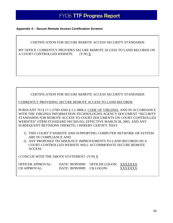#### **Appendix 4 – Secure Remote Access Certification Screens**

#### CERTIFICATION FOR SECURE REMOTE ACCESS SECURITY STANDARDS

MY OFFICE CURRENTLY PROVIDES SECURE REMOTE ACCESS TO LAND RECORDS ON A COURT-CONTROLLED WEBSITE. (Y/N) X

#### CERTIFICATION FOR SECURE REMOTE ACCESS SECURITY STANDARDS

CURRENTLY PROVIDING SECURE REMOTE ACCESS TO LAND RECORDS

PURSUANT TO § 17.1-279D AND § 2.2-3808.2, CODE OF VIRGINIA, AND IN ACCORDANCE WITH THE VIRGINIA INFORMATION TECHNOLOGIES AGENCY DOCUMENT "SECURITY STANDARDS FOR REMOTE ACCESS TO COURT DOCUMENTS ON COURT-CONTROLLED WEBSITES" (ITRM STANDARD SEC503-02), EFFECTIVE MARCH 28, 2005, AND ANY SUBSEQUENT REVISIONS THERETO, I HEREBY CERTIFY THAT:

- 1) THIS COURT'S WEBSITE AND SUPPORTING COMPUTER NETWORK OR SYSTEM ARE IN COMPLIANCE AND
- 2) ANY PROPOSED TECHNOLOGY IMPROVEMENTS TO LAND RECORDS ON A COURT-CONTROLLED WEBSITE WILL ACCOMMODATE SECURE REMOTE ACCESS.

I CONCUR WITH THE ABOVE STATEMENT. (Y/N) X

| OFFICER APPROVAL:   |                              | DATE: 99/99/9999 OFFICER LOGON: XXXXXXX |         |
|---------------------|------------------------------|-----------------------------------------|---------|
| <b>CB APPROVAL:</b> | $DATE: 99/99/9999$ CB LOGON: |                                         | XXXXXXX |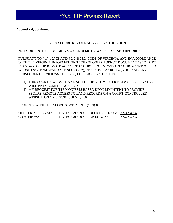#### **Appendix 4, continued**

|                                                                                                                                                                                                                                                                                                                                                               |                                      | VITA SECURE REMOTE ACCESS CERTIFICATION |                    |  |  |  |  |  |  |  |
|---------------------------------------------------------------------------------------------------------------------------------------------------------------------------------------------------------------------------------------------------------------------------------------------------------------------------------------------------------------|--------------------------------------|-----------------------------------------|--------------------|--|--|--|--|--|--|--|
| NOT CURRENTLY PROVIDING SECURE REMOTE ACCESS TO LAND RECORDS                                                                                                                                                                                                                                                                                                  |                                      |                                         |                    |  |  |  |  |  |  |  |
| PURSUANT TO § 17.1-279B AND § 2.2-3808.2, CODE OF VIRGINIA, AND IN ACCORDANCE<br>WITH THE VIRGINIA INFORMATION TECHNOLOGIES AGENCY DOCUMENT "SECURITY<br>STANDARDS FOR REMOTE ACCESS TO COURT DOCUMENTS ON COURT-CONTROLLED<br>WEBSITES" (ITRM STANDARD SEC503-02), EFFECTIVE MARCH 28, 2005, AND ANY<br>SUBSEQUENT REVISIONS THERETO, I HEREBY CERTIFY THAT: |                                      |                                         |                    |  |  |  |  |  |  |  |
| 1) THIS COURT'S WEBSITE AND SUPPORTING COMPUTER NETWORK OR SYSTEM<br>WILL BE IN COMPLIANCE AND<br>2) MY REQUEST FOR TTF MONIES IS BASED UPON MY INTENT TO PROVIDE<br>SECURE REMOTE ACCESS TO LAND RECORDS ON A COURT-CONTROLLED<br>WEBSITE ON OR BEFORE JULY 1, 2007.                                                                                         |                                      |                                         |                    |  |  |  |  |  |  |  |
| I CONCUR WITH THE ABOVE STATEMENT. (Y/N) X                                                                                                                                                                                                                                                                                                                    |                                      |                                         |                    |  |  |  |  |  |  |  |
| OFFICER APPROVAL:<br><b>CB APPROVAL:</b>                                                                                                                                                                                                                                                                                                                      | DATE: 99/99/9999<br>DATE: 99/99/9999 | OFFICER LOGON:<br>CB LOGON:             | XXXXXXX<br>xxxxxxx |  |  |  |  |  |  |  |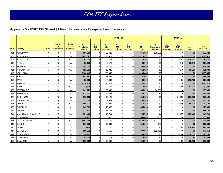#### **Appendix 5 – FY07 TTF \$4 and \$1 Fund Requests for Equipment and Services**

|             |                     |              |                                         |                                             |                                           |                      |                                     | FY07 \$4                     |                                      |                     |                                    | FY07 \$1                            |                                      |                     |                               |
|-------------|---------------------|--------------|-----------------------------------------|---------------------------------------------|-------------------------------------------|----------------------|-------------------------------------|------------------------------|--------------------------------------|---------------------|------------------------------------|-------------------------------------|--------------------------------------|---------------------|-------------------------------|
| <b>FIPS</b> | Locality            | <b>SRA</b>   | <b>Budget</b><br>or<br><b>Carryover</b> | Elect<br><b>Civil or</b><br><b>Criminal</b> | \$4<br><b>Available</b><br><b>Balance</b> | \$4<br>LR<br>Equipmt | \$4<br><b>LR</b><br><b>Services</b> | \$4<br>C/C<br><b>Equipmt</b> | \$4<br><b>C/C</b><br><b>Services</b> | \$4<br><b>TOTAL</b> | \$4<br>Remaining<br><b>Balance</b> | \$1<br><b>SRA</b><br><b>Equipmt</b> | \$1<br><b>SRA</b><br><b>Services</b> | \$1<br><b>TOTAL</b> | <b>Total</b><br><b>BUDGET</b> |
| 001         | <b>ACCOMACK</b>     | Y            | B                                       | Y                                           | \$86,710                                  | $\Omega$             | 56,629                              |                              |                                      | \$56,629            | \$30,081                           |                                     |                                      | \$0                 | \$56,629                      |
| 003         | <b>ALBEMARLE</b>    | $\mathsf{N}$ | B                                       | <b>NA</b>                                   | \$223,321                                 | $\Omega$             | 223,321                             |                              |                                      | \$223,321           | \$0                                |                                     |                                      | \$0                 | \$223,321                     |
| 005         | <b>ALLEGHANY</b>    | ${\sf N}$    | В                                       | <b>NA</b>                                   | \$7,794                                   | $\overline{0}$       | 7,794                               |                              |                                      | \$7,794             | \$0                                |                                     | 10,767                               | \$10,767            | \$18,561                      |
| 007         | <b>AMELIA</b>       | N            | В                                       | <b>NA</b>                                   | \$9,175                                   | $\Omega$             | 9,175                               |                              |                                      | \$9,175             | \$0                                |                                     | 9,245                                | \$9,245             | \$18,420                      |
| 009         | <b>AMHERST</b>      | $\mathsf{N}$ | B                                       | <b>NA</b>                                   | \$58,405                                  | $\overline{0}$       | 58,405                              |                              |                                      | \$58,405            | \$0                                |                                     |                                      | \$0                 | \$58,405                      |
| 011         | <b>APPOMATTOX</b>   | N            | B                                       | <b>NA</b>                                   | \$12,028                                  | $\Omega$             | 12,028                              |                              |                                      | \$12,028            | \$0                                |                                     | 9,675                                | \$9,675             | \$21,703                      |
| 013         | <b>ARLINGTON</b>    | Y            | B                                       | Y                                           | \$168,445                                 | $\Omega$             | 168,445                             |                              |                                      | \$168,445           | \$0                                |                                     |                                      | \$0                 | \$168,445                     |
| 015         | <b>AUGUSTA</b>      | N            | B                                       | <b>NA</b>                                   | \$81,657                                  | $\Omega$             | 81,657                              |                              |                                      | \$81,657            | \$0                                |                                     |                                      | \$0                 | \$81,657                      |
| 017         | <b>BATH</b>         | N            | B                                       | <b>NA</b>                                   | \$3,003                                   | $\Omega$             | 3,003                               |                              |                                      | \$3,003             | \$0                                |                                     | 15,406                               | \$15,406            | \$18,409                      |
| 019         | <b>BEDFORD</b>      | $\mathsf{N}$ | B                                       | <b>NA</b>                                   | \$130,814                                 | $\Omega$             | 130,814                             |                              |                                      | \$130,814           | \$0                                |                                     |                                      | \$0                 | \$130,814                     |
| 021         | <b>BLAND</b>        | $\mathsf{N}$ | B                                       | <b>NA</b>                                   | \$595                                     | $\Omega$             | 595                                 |                              |                                      | \$595               | \$0                                |                                     | 1,805                                | \$1,805             | \$2,400                       |
| 023         | <b>BOTETOURT</b>    | N            | B                                       | <b>NA</b>                                   | \$41,129                                  | $\Omega$             | 36,398                              |                              |                                      | \$36,398            | \$4,731                            |                                     |                                      | \$0                 | \$36,398                      |
| 025         | <b>BRUNSWICK</b>    | Y            | B                                       | Y                                           | \$22,233                                  | $\Omega$             | 22,233                              |                              |                                      | \$22,233            | \$0                                |                                     |                                      | \$0                 | \$22,233                      |
| 027         | <b>BUCHANAN</b>     | ${\sf N}$    | В                                       | <b>NA</b>                                   | \$13,125                                  | $\Omega$             | 13,125                              |                              |                                      | \$13,125            | \$0                                |                                     | 50,000                               | \$50,000            | \$63,125                      |
| 029         | <b>BUCKINGHAM</b>   | ${\sf N}$    | B                                       | <b>NA</b>                                   | \$9,364                                   | $\Omega$             | 9,364                               |                              |                                      | \$9,364             | \$0                                |                                     | 17,398                               | \$17,398            | \$26,762                      |
| 031         | <b>CAMPBELL</b>     | N            | B                                       | <b>NA</b>                                   | \$60,323                                  | $\Omega$             | 60,323                              |                              |                                      | \$60,323            | \$0                                |                                     | 9,800                                | \$9,800             | \$70,123                      |
| 033         | <b>CAROLINE</b>     | Y            | В                                       | ${\sf N}$                                   | \$45,863                                  | $\Omega$             | 45,863                              |                              |                                      | \$45,863            | \$0                                |                                     |                                      | \$0                 | \$45,863                      |
| 035         | <b>CARROLL</b>      | Y            | B                                       | Y                                           | \$22,733                                  | $\Omega$             | 22,733                              |                              |                                      | \$22,733            | \$0                                |                                     |                                      | \$0                 | \$22,733                      |
| 036         | CHARLES CITY COUNTY | N            | B                                       | <b>NA</b>                                   | \$14,912                                  | $\Omega$             | 14,912                              |                              |                                      | \$14,912            | \$0                                |                                     | 10,000                               | \$10,000            | \$24,912                      |
| 037         | <b>CHARLOTTE</b>    | Y            | В                                       | Y                                           | \$38,285                                  | $\Omega$             | 38,000                              |                              |                                      | \$38,000            | \$285                              |                                     |                                      | \$0                 | \$38,000                      |
| 041         | <b>CHESTERFIELD</b> | N            | B                                       | <b>NA</b>                                   | \$667,385                                 | 11,290               | 623,102                             |                              |                                      | \$634,392           | \$32,993                           |                                     |                                      | \$0                 | \$634,392                     |
| 043         | <b>CLARKE</b>       | Y            | B                                       | Y                                           | \$16,658                                  | $\Omega$             | 16,600                              |                              |                                      | \$16,600            | \$58                               |                                     |                                      | \$0                 | \$16,600                      |
| 045         | <b>CRAIG</b>        | N            | B                                       | <b>NA</b>                                   | \$720                                     | $\Omega$             | 720                                 |                              |                                      | \$720               | \$0                                |                                     | 24,765                               | \$24,765            | \$25,485                      |
| 047         | <b>CULPEPER</b>     | Y            | B                                       | Y                                           | \$99,071                                  | $\overline{0}$       | 77,650                              |                              |                                      | \$77,650            | \$21,421                           |                                     |                                      | \$0                 | \$77,650                      |
| 049         | <b>CUMBERLAND</b>   | $\mathsf{N}$ | B                                       | <b>NA</b>                                   | \$6,109                                   | 959                  | 5,150                               |                              |                                      | \$6,109             | \$0                                |                                     | 10,000                               | \$10,000            | \$16,109                      |
| 051         | <b>DICKENSON</b>    | Y            | В                                       | Y                                           | \$4,408                                   | $\Omega$             | 4,408                               |                              |                                      | \$4,408             | \$0                                |                                     |                                      | \$0                 | \$4,408                       |
| 053         | <b>DINWIDDIE</b>    | N            | B                                       | <b>NA</b>                                   | \$19,908                                  | $\Omega$             | 19,908                              |                              |                                      | \$19,908            | \$0                                |                                     | 2,400                                | \$2,400             | \$22,308                      |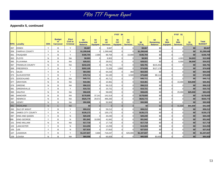## **Appendix 5, continued**

|             |                          |              |                                                |                                                    |                                           |                                    |                                     | <b>FY07 \$4</b>              |                                      |                     |                                           |                                     |                                                  |                     |                               |
|-------------|--------------------------|--------------|------------------------------------------------|----------------------------------------------------|-------------------------------------------|------------------------------------|-------------------------------------|------------------------------|--------------------------------------|---------------------|-------------------------------------------|-------------------------------------|--------------------------------------------------|---------------------|-------------------------------|
| <b>FIPS</b> | <b>Locality</b>          | <b>SRA</b>   | <b>Budget</b><br><b>or</b><br><b>Carryover</b> | <b>Elect</b><br><b>Civil or</b><br><b>Criminal</b> | \$4<br><b>Available</b><br><b>Balance</b> | \$4<br><b>LR</b><br><b>Equipmt</b> | \$4<br><b>LR</b><br><b>Services</b> | \$4<br>C/C<br><b>Equipmt</b> | \$4<br><b>C/C</b><br><b>Services</b> | \$4<br><b>TOTAL</b> | \$4<br><b>Remaining</b><br><b>Balance</b> | \$1<br><b>SRA</b><br><b>Equipmt</b> | FY07 \$1<br>\$1<br><b>SRA</b><br><b>Services</b> | \$1<br><b>TOTAL</b> | <b>Total</b><br><b>BUDGET</b> |
| 057         | <b>ESSEX</b>             | Y            | B                                              | Y                                                  | \$9,667                                   | $\Omega$                           | 9,667                               |                              |                                      | \$9,667             | \$0                                       |                                     |                                                  | \$0                 | \$9,667                       |
| 059         | <b>FAIRFAX COUNTY</b>    | Y            | B                                              | Y                                                  | \$1,299,648                               | $\Omega$                           | 1.299.648                           |                              |                                      | \$1,299,648         | \$0                                       |                                     |                                                  | \$0                 | \$1,299,648                   |
| 061         | <b>FAUQUIER</b>          | Y            | B                                              | Y                                                  | \$106,704                                 | 2,000                              | 89,704                              |                              | 15,000                               | \$106,704           | \$0                                       |                                     | O                                                | \$0                 | \$106,704                     |
| 063         | <b>FLOYD</b>             | ${\sf N}$    | B                                              | <b>NA</b>                                          | \$8,903                                   | $\Omega$                           | 8,903                               |                              |                                      | \$8,903             | \$0                                       |                                     | 4,003                                            | \$4,003             | \$12,906                      |
| 065         | <b>FLUVANNA</b>          | $\mathsf{N}$ | B                                              | <b>NA</b>                                          | \$28,021                                  | $\Omega$                           | 28,021                              |                              |                                      | \$28,021            | \$0                                       |                                     | 6,000                                            | \$6,000             | \$34,021                      |
| 067         | <b>FRANKLIN COUNTY</b>   | N            | B                                              | <b>NA</b>                                          | \$242,243                                 |                                    | 26,791                              |                              |                                      | \$26,791            | \$215,452                                 |                                     | O                                                | \$0                 | \$26,791                      |
| 069         | <b>FREDERICK</b>         | Y            | B                                              | Y                                                  | \$202,105                                 |                                    | 73,326                              | 1,600                        |                                      | \$74,926            | \$127,179                                 |                                     | $\Omega$                                         | \$0                 | \$74,926                      |
| 071         | <b>GILES</b>             | Y            | B                                              | Y                                                  | \$64,593                                  | $\Omega$                           | 64,233                              |                              | 360                                  | \$64,593            | \$0                                       |                                     | $\Omega$                                         | \$0                 | \$64,593                      |
| 073         | <b>GLOUCESTER</b>        | Y            | B                                              | Y                                                  | \$79,714                                  | $\Omega$                           | 64,100                              |                              | 6,500                                | \$70,600            | \$9,114                                   |                                     | $\Omega$                                         | \$0                 | \$70,600                      |
| 075         | <b>GOOCHLAND</b>         | N            | B                                              | <b>NA</b>                                          | \$45,711                                  |                                    | 45,71'                              |                              |                                      | \$45,711            | \$0                                       |                                     |                                                  | \$0                 | \$45,711                      |
| 077         | <b>GRAYSON</b>           | $\mathsf{N}$ | B                                              | <b>NA</b>                                          | \$10,361                                  | $\Omega$                           | 10,361                              |                              |                                      | \$10,361            | \$0                                       |                                     | 15,000                                           | \$15,000            | \$25,361                      |
| 079         | <b>GREENE</b>            | ${\sf N}$    | B                                              | <b>NA</b>                                          | \$56,213                                  | $\Omega$                           | 56,213                              |                              |                                      | \$56,213            | \$0                                       |                                     | U                                                | \$0                 | \$56,213                      |
| 081         | <b>GREENSVILLE</b>       | Y            | B                                              | Y                                                  | \$15,721                                  | $\Omega$                           | 15,721                              |                              |                                      | \$15,721            | \$0                                       |                                     | U                                                | \$0                 | \$15,721                      |
| 083         | <b>HALIFAX</b>           | N            | B                                              | <b>NA</b>                                          | \$58,635                                  | $\Omega$                           | 58,635                              |                              |                                      | \$58,635            | \$0                                       |                                     | 25,000                                           | \$25,000            | \$83,635                      |
| 085         | <b>HANOVER</b>           | $\mathsf{N}$ | B                                              | <b>NA</b>                                          | \$178,655                                 | 37,141                             | 141,514                             |                              |                                      | \$178,655           | \$0                                       |                                     |                                                  | \$0                 | \$178,655                     |
| 087         | <b>HENRICO</b>           | N            | B                                              | <b>NA</b>                                          | \$525,779                                 | 29,572                             | 496,200                             |                              |                                      | \$525,772           | \$7                                       |                                     | $\Omega$                                         | \$0                 | \$525,772                     |
| 089         | <b>HENRY</b>             | ${\sf N}$    | B                                              | <b>NA</b>                                          | \$50,908                                  |                                    | 50,908                              |                              |                                      | \$50,908            | \$0                                       |                                     |                                                  | \$0                 | \$50,908                      |
| 091         | <b>HIGHLAND</b>          | N            | $\mathsf{C}$                                   | <b>NA</b>                                          | \$0                                       | $\Omega$                           |                                     |                              |                                      | \$0                 | \$0                                       |                                     | 41,500                                           | \$41,500            | \$41,500                      |
| 093         | <b>ISLE OF WIGHT</b>     | Y            | B                                              | Y                                                  | \$59,212                                  | $\Omega$                           | 59,212                              |                              |                                      | \$59,212            | \$0                                       |                                     | $\Omega$                                         | \$0                 | \$59,212                      |
| 095         | <b>JAMES CITY COUNTY</b> | Y            | B                                              | Y                                                  | \$135,173                                 | $\Omega$                           | 135,173                             |                              |                                      | \$135,173           | \$0                                       |                                     | O                                                | \$0                 | \$135,173                     |
| 097         | <b>KING AND QUEEN</b>    | Y            | B                                              | N                                                  | \$20,240                                  | $\Omega$                           | 20,240                              |                              |                                      | \$20,240            | \$0                                       |                                     | $\Omega$                                         | \$0                 | \$20,240                      |
| 099         | KING GEORGE              | Y            | B                                              | N                                                  | \$51,842                                  | 10,000                             | 41,842                              |                              |                                      | \$51,842            | \$0                                       |                                     | O                                                | \$0                 | \$51,842                      |
| 101         | KING WILLIAM             | N            | B                                              | <b>NA</b>                                          | \$17,719                                  |                                    | 17,719                              |                              |                                      | \$17,719            | \$0                                       |                                     |                                                  | \$0                 | \$17,719                      |
| 103         | LANCASTER                | Y            | В                                              | N                                                  | \$13,259                                  | $\Omega$                           | 13,259                              |                              |                                      | \$13,259            | \$0                                       |                                     | $\Omega$                                         | \$0                 | \$13,259                      |
| 105         | LEE                      | Y            | B                                              | N                                                  | \$27,810                                  | $\Omega$                           | 27.810                              |                              |                                      | \$27,810            | \$0                                       |                                     | O                                                | \$0                 | \$27,810                      |
| 107         | LOUDOUN                  | Y            | B                                              | Y                                                  | \$1,347,847                               | 3,600                              | 719,247                             |                              | 625,000                              | \$1,347,847         | \$0                                       |                                     |                                                  | \$0                 | \$1,347,847                   |
| 109         | LOUISA                   | N            | B                                              | <b>NA</b>                                          | \$69,558                                  | $\Omega$                           | 65,928                              |                              |                                      | \$65,928            | \$3,630                                   |                                     | $\Omega$                                         | \$0                 | \$65,928                      |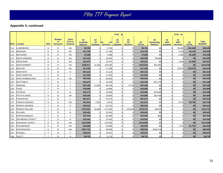## **Appendix 5, continued**

|             |                      |              |                                         |                                                    |                                           |                                    |                                     | FY07 \$4              |                                      |                     |                                           |                                     | FY07 \$1                             |                     |                               |
|-------------|----------------------|--------------|-----------------------------------------|----------------------------------------------------|-------------------------------------------|------------------------------------|-------------------------------------|-----------------------|--------------------------------------|---------------------|-------------------------------------------|-------------------------------------|--------------------------------------|---------------------|-------------------------------|
| <b>FIPS</b> | <b>Locality</b>      | <b>SRA</b>   | <b>Budget</b><br>or<br><b>Carryover</b> | <b>Elect</b><br><b>Civil or</b><br><b>Criminal</b> | \$4<br><b>Available</b><br><b>Balance</b> | \$4<br><b>LR</b><br><b>Equipmt</b> | <b>LR</b><br>\$4<br><b>Services</b> | \$4<br>C/C<br>Equipmt | \$4<br><b>C/C</b><br><b>Services</b> | \$4<br><b>TOTAL</b> | \$4<br><b>Remaining</b><br><b>Balance</b> | \$1<br><b>SRA</b><br><b>Equipmt</b> | \$1<br><b>SRA</b><br><b>Services</b> | \$1<br><b>TOTAL</b> | <b>Total</b><br><b>BUDGET</b> |
| 111         | LUNENBURG            | $\mathsf{N}$ | B                                       | <b>NA</b>                                          | \$5,704                                   | $\Omega$                           | 5,704                               |                       |                                      | \$5,704             | \$0                                       |                                     | 33,465                               | \$33,465            | \$39,169                      |
| 113         | <b>MADISON</b>       | $\mathsf{N}$ | B                                       | <b>NA</b>                                          | \$12,786                                  | $\Omega$                           | 12.786                              |                       |                                      | \$12,786            | \$0                                       |                                     | 4,149                                | \$4,149             | \$16,935                      |
| 115         | <b>MATHEWS</b>       | ${\sf N}$    | B                                       | <b>NA</b>                                          | \$7,999                                   | $\Omega$                           | 7,999                               |                       |                                      | \$7,999             | \$0                                       |                                     | 2,400                                | \$2,400             | \$10,399                      |
| 117         | <b>MECKLENBURG</b>   | N            | B                                       | <b>NA</b>                                          | \$37,519                                  | $\Omega$                           | 33,635                              |                       |                                      | \$33,635            | \$3,884                                   |                                     | $\Omega$                             | \$0                 | \$33,635                      |
| 119         | <b>MIDDLESEX</b>     | $\mathsf{N}$ | B                                       | <b>NA</b>                                          | \$16,267                                  | $\Omega$                           | 16,267                              |                       |                                      | \$16,267            | \$0                                       |                                     | 7,000                                | \$7,000             | \$23,267                      |
| 121         | <b>MONTGOMERY</b>    | N            | B                                       | <b>NA</b>                                          | \$156,617                                 | 21,500                             | 103,035                             |                       |                                      | \$124,535           | \$32,082                                  |                                     | O                                    | \$0                 | \$124,535                     |
| 125         | <b>NELSON</b>        | ${\sf N}$    | B                                       | <b>NA</b>                                          | \$17,238                                  | $\Omega$                           | 17,238                              |                       |                                      | \$17,238            | \$0                                       |                                     | 19,072                               | \$19,072            | \$36,310                      |
| 127         | <b>NEW KENT</b>      | Y            | B                                       | N                                                  | \$21,213                                  | $\Omega$                           | 21,213                              |                       |                                      | \$21,213            | \$0                                       |                                     | U                                    | \$0                 | \$21,213                      |
| 131         | NORTHAMPTON          | Y            | B                                       | Y                                                  | \$11,940                                  | $\Omega$                           | 11,940                              |                       |                                      | \$11,940            | \$0                                       |                                     | $\Omega$                             | \$0                 | \$11,940                      |
| 133         | NORTHUMBERLAND       | N            | B                                       | <b>NA</b>                                          | \$60,050                                  | $\Omega$                           | 60,050                              |                       |                                      | \$60,050            | \$0                                       |                                     | $\Omega$                             | \$0                 | \$60,050                      |
| 135         | NOTTOWAY             | Y            | B                                       | Y                                                  | \$24,270                                  | $\Omega$                           | 13,100                              |                       |                                      | \$13,100            | \$11,170                                  |                                     |                                      | \$0                 | \$13,100                      |
| 137         | ORANGE               | Y            | B                                       | Y                                                  | \$67,385                                  | 12,582                             | 48,100                              |                       | 6,703                                | \$67,385            | \$0                                       |                                     | $\Omega$                             | \$0                 | \$67,385                      |
| 139         | PAGE                 | Y            | B                                       | Y                                                  | \$18,968                                  | $\Omega$                           | 18,968                              |                       |                                      | \$18,968            | \$0                                       |                                     | O                                    | \$0                 | \$18,968                      |
| 141         | <b>PATRICK</b>       | Y            | B                                       | N                                                  | \$24,172                                  | $\Omega$                           | 10,506                              |                       |                                      | \$10,506            | \$13,666                                  |                                     | $\Omega$                             | \$0                 | \$10,506                      |
| 143         | <b>PITTSYLVANIA</b>  | $\mathsf{N}$ | B                                       | <b>NA</b>                                          | \$39,349                                  | $\Omega$                           | 24,800                              |                       |                                      | \$24,800            | \$14,549                                  |                                     | $\Omega$                             | \$0                 | \$24,800                      |
| 145         | <b>POWHATAN</b>      | Y            | B                                       | Y                                                  | \$67,874                                  | $\Omega$                           | 67,874                              |                       |                                      | \$67,874            | \$0                                       |                                     | U                                    | \$0                 | \$67,874                      |
| 147         | <b>PRINCE EDWARD</b> | N            | B                                       | <b>NA</b>                                          | \$11,014                                  | 2,500                              | 8,514                               |                       |                                      | \$11,014            | \$0                                       |                                     | 9,750                                | \$9,750             | \$20,764                      |
| 149         | PRINCE GEORGE        | Y            | B                                       | N                                                  | \$42,512                                  | $\Omega$                           | 42,512                              |                       |                                      | \$42,512            | \$0                                       |                                     | $\Omega$                             | \$0                 | \$42,512                      |
| 153         | PRINCE WILLIAM       | Y            | B                                       | Y                                                  | \$732,561                                 | 20,099                             | 577,652                             |                       | 125,000                              | \$722,751           | \$9,810                                   |                                     | $\Omega$                             | \$0                 | \$722,751                     |
| 155         | <b>PULASKI</b>       | Y            | B                                       | N                                                  | \$20,481                                  |                                    | 20,481                              |                       |                                      | \$20,481            | \$0                                       |                                     | $\Omega$                             | \$0                 | \$20,481                      |
| 157         | <b>RAPPAHANNOCK</b>  | Y            | B                                       | Y                                                  | \$52,554                                  | $\Omega$                           | 52,500                              |                       |                                      | \$52,500            | \$54                                      |                                     | $\Omega$                             | \$0                 | \$52,500                      |
| 159         | RICHMOND COUNTY      | Y            | B                                       | N                                                  | \$15,542                                  | $\Omega$                           | 15,542                              |                       |                                      | \$15,542            | \$0                                       |                                     | $\Omega$                             | \$0                 | \$15,542                      |
| 161         | ROANOKE COUNTY       | N            | B                                       | <b>NA</b>                                          | \$115,555                                 | $\Omega$                           | 115,555                             |                       |                                      | \$115,555           | \$0                                       |                                     |                                      | \$0                 | \$115,555                     |
| 163         | <b>ROCKBRIDGE</b>    | $\mathsf{N}$ | B                                       | <b>NA</b>                                          | \$40,699                                  | $\Omega$                           | 40,699                              |                       |                                      | \$40,699            | \$0                                       |                                     | 1,754                                | \$1,754             | \$42,453                      |
| 165         | <b>ROCKINGHAM</b>    | ${\sf N}$    | В                                       | <b>NA</b>                                          | \$547,716                                 | $\Omega$                           | 99,000                              | $\Omega$              |                                      | \$99,000            | \$448,716                                 |                                     | $\Omega$                             | \$0                 | \$99,000                      |
| 167         | <b>RUSSELL</b>       | Y            | B                                       | Y                                                  | \$35,047                                  | $\Omega$                           | 35,047                              |                       |                                      | \$35,047            | \$0                                       |                                     | $\Omega$                             | \$0                 | \$35,047                      |
| 169         | <b>SCOTT</b>         | Y            | B                                       | N                                                  | \$6,713                                   | $\Omega$                           | 6,713                               |                       |                                      | \$6,713             | \$0                                       |                                     | $\Omega$                             | \$0                 | \$6,713                       |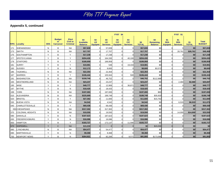## **Appendix 5, continued**

|             |                         |              |                                                |                                                    |                                           |                                    |                                     | <b>FY07 \$4</b>              |                               |                     | FY07 \$1                                  |                              |                                      |                     |                               |
|-------------|-------------------------|--------------|------------------------------------------------|----------------------------------------------------|-------------------------------------------|------------------------------------|-------------------------------------|------------------------------|-------------------------------|---------------------|-------------------------------------------|------------------------------|--------------------------------------|---------------------|-------------------------------|
| <b>FIPS</b> | <b>Locality</b>         | <b>SRA</b>   | <b>Budget</b><br><b>or</b><br><b>Carryover</b> | <b>Elect</b><br><b>Civil or</b><br><b>Criminal</b> | \$4<br><b>Available</b><br><b>Balance</b> | \$4<br><b>LR</b><br><b>Equipmt</b> | \$4<br><b>LR</b><br><b>Services</b> | \$4<br>C/C<br><b>Equipmt</b> | \$4<br>C/C<br><b>Services</b> | \$4<br><b>TOTAL</b> | \$4<br><b>Remaining</b><br><b>Balance</b> | \$1<br><b>SRA</b><br>Equipmt | \$1<br><b>SRA</b><br><b>Services</b> | \$1<br><b>TOTAL</b> | <b>Total</b><br><b>BUDGET</b> |
| 171         | SHENANDOAH              | N            | B                                              | <b>NA</b>                                          | \$57,839                                  | $\Omega$                           | 57,839                              |                              |                               | \$57,839            | \$0                                       |                              |                                      | \$0                 | \$57,839                      |
| 173         | <b>SMYTH</b>            | N            | B                                              | <b>NA</b>                                          | \$17,707                                  | $\Omega$                           | 17,707                              |                              |                               | \$17,707            | \$0                                       |                              | 28,761                               | \$28,761            | \$46,468                      |
| 175         | <b>SOUTHAMPTON</b>      | Y            | B                                              | Y                                                  | \$17,238                                  | $\Omega$                           | 17,238                              |                              |                               | \$17,238            | \$0                                       |                              | U                                    | \$0                 | \$17,238                      |
| 177         | <b>SPOTSYLVANIA</b>     | Y            | B                                              | Y                                                  | \$204,430                                 | $\Omega$                           | 164,330                             |                              | 40,100                        | \$204,430           | \$0                                       |                              | $\Omega$                             | \$0                 | \$204,430                     |
| 179         | <b>STAFFORD</b>         | Y            | B                                              | Y                                                  | \$189,959                                 | $\Omega$                           | 189,959                             |                              |                               | \$189,959           | \$0                                       |                              | $\Omega$                             | \$0                 | \$189,959                     |
| 181         | <b>SURRY</b>            | Y            | B                                              | Y                                                  | \$19,981                                  |                                    | 548                                 |                              | 19,433                        | \$19,981            | \$0                                       |                              | $\Omega$                             | \$0                 | \$19,981                      |
| 183         | <b>SUSSEX</b>           | Y            | B                                              | N                                                  | \$12,172                                  | $\Omega$                           | 8,600                               |                              |                               | \$8,600             | \$3,572                                   |                              | $\Omega$                             | \$0                 | \$8,600                       |
| 185         | <b>TAZEWELL</b>         | N            | B                                              | <b>NA</b>                                          | \$22,354                                  | $\Omega$                           | 22,354                              |                              |                               | \$22,354            | \$0                                       |                              | $\Omega$                             | \$0                 | \$22,354                      |
| 187         | <b>WARREN</b>           | Y            | B                                              | Y                                                  | \$106,444                                 | $\Omega$                           | 105,944                             |                              | 500                           | \$106,444           | \$0                                       |                              | O                                    | \$0                 | \$106,444                     |
| 191         | <b>WASHINGTON</b>       | N            | B                                              | <b>NA</b>                                          | \$159,740                                 | $\Omega$                           | 46,752                              |                              |                               | \$46,752            | \$112,988                                 |                              |                                      | \$0                 | \$46,752                      |
| 193         | <b>WESTMORELAND</b>     | $\mathsf{N}$ | B                                              | <b>NA</b>                                          | \$23,237                                  | $\Omega$                           | 23,237                              |                              |                               | \$23,237            | \$0                                       |                              | 2,460                                | \$2,460             | \$25,697                      |
| 195         | <b>WISE</b>             | Y            | B                                              | Y                                                  | \$49,777                                  | $\Omega$                           | 12,906                              |                              | 36,871                        | \$49,777            | \$0                                       |                              | O                                    | \$0                 | \$49,777                      |
| 197         | <b>WYTHE</b>            | Y            | B                                              | N                                                  | \$18,425                                  | $\Omega$                           | 18,425                              |                              |                               | \$18,425            | \$0                                       |                              | $\Omega$                             | \$0                 | \$18,425                      |
| 199         | <b>YORK</b>             | $\mathsf{N}$ | B                                              | <b>NA</b>                                          | \$197,083                                 | $\Omega$                           | 197,000                             |                              |                               | \$197,000           | \$83                                      |                              | O                                    | \$0                 | \$197,000                     |
| 510         | <b>ALEXANDRIA</b>       | $\mathsf{N}$ | B                                              | <b>NA</b>                                          | \$225,669                                 | $\Omega$                           | 189,749                             |                              |                               | \$189,749           | \$35,920                                  |                              | $\Omega$                             | \$0                 | \$189,749                     |
| 520         | <b>BRISTOL</b>          | Y            | B                                              | Y                                                  | \$27,362                                  | $\Omega$                           | 11,600                              |                              |                               | \$11,600            | \$15,762                                  |                              |                                      | \$0                 | \$11,600                      |
| 530         | <b>BUENA VISTA</b>      | N            | B                                              | <b>NA</b>                                          | \$4,542                                   |                                    | 4,542                               |                              |                               | \$4,542             | \$0                                       |                              | 6,533                                | \$6,533             | \$11,075                      |
| 540         | <b>CHARLOTTESVILLE</b>  | Y            | B                                              | Y                                                  | \$69,436                                  | $\Omega$                           | 69,436                              |                              |                               | \$69,436            | \$0                                       |                              | $\Omega$                             | \$0                 | \$69,436                      |
|             | 550 CHESAPEAKE          | N            | B                                              | <b>NA</b>                                          | \$317,302                                 | $\Omega$                           | 317.302                             |                              |                               | \$317.302           | \$0                                       |                              | U                                    | \$0                 | \$317,302                     |
| 570         | <b>COLONIAL HEIGHTS</b> | ${\sf N}$    | B                                              | <b>NA</b>                                          | \$19,550                                  | $\Omega$                           | 19,550                              |                              |                               | \$19,550            | \$0                                       |                              | 14,000                               | \$14,000            | \$33,550                      |
| 590         | <b>DANVILLE</b>         | Y            | B                                              | ${\sf N}$                                          | \$187,623                                 | $\Omega$                           | 187,623                             |                              |                               | \$187,623           | \$0                                       |                              | ŋ                                    | \$0                 | \$187,623                     |
| 630         | <b>FREDERICKSBURG</b>   | Y            | B                                              | N                                                  | \$16,086                                  | $\Omega$                           | 16,086                              |                              |                               | \$16,086            | \$0                                       |                              | $\Omega$                             | \$0                 | \$16,086                      |
| 650         | <b>HAMPTON</b>          | Y            | B                                              | Y                                                  | \$183,727                                 |                                    | 172,137                             |                              | 11,590                        | \$183,727           | \$0                                       |                              |                                      | \$0                 | \$183,727                     |
| 670         | <b>HOPEWELL</b>         | Y            | $\mathsf{C}$                                   | <b>NA</b>                                          | \$15,030                                  | $\Omega$                           |                                     |                              |                               | \$0                 | \$15,030                                  |                              | $\Omega$                             | \$0                 | \$0                           |
| 680         | LYNCHBURG               | ${\sf N}$    | B                                              | <b>NA</b>                                          | \$54,477                                  | $\Omega$                           | 54,477                              |                              |                               | \$54,477            | \$0                                       |                              | $\Omega$                             | \$0                 | \$54,477                      |
| 690         | <b>MARTINSVILLE</b>     | Y            | B                                              | N                                                  | \$9,368                                   | $\Omega$                           | 9,368                               |                              |                               | \$9,368             | \$0                                       |                              |                                      | \$0                 | \$9,368                       |
| 700         | <b>NEWPORT NEWS</b>     | Y            | B                                              | N                                                  | \$264,921                                 | $\Omega$                           | 82,284                              |                              | 9,571                         | \$91.855            | \$173,066                                 |                              | $\Omega$                             | \$0                 | \$91,855                      |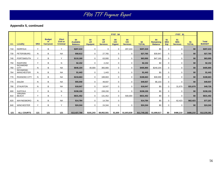## **Appendix 5, continued**

|             |                                 |              |                                          |                                                    |                                           |                              |                                     | <b>FY07 \$4</b>            |                               |                     |                                           | FY07 \$1                 |                                      |                     |                               |
|-------------|---------------------------------|--------------|------------------------------------------|----------------------------------------------------|-------------------------------------------|------------------------------|-------------------------------------|----------------------------|-------------------------------|---------------------|-------------------------------------------|--------------------------|--------------------------------------|---------------------|-------------------------------|
| <b>FIPS</b> | Locality                        | <b>SRA</b>   | <b>Budget</b><br>or.<br><b>Carryover</b> | <b>Elect</b><br><b>Civil or</b><br><b>Criminal</b> | \$4<br><b>Available</b><br><b>Balance</b> | \$4<br>LR.<br><b>Equipmt</b> | \$4<br><b>LR</b><br><b>Services</b> | \$4<br>C/C<br><b>Eqpmt</b> | \$4<br>C/C<br><b>Services</b> | \$4<br><b>TOTAL</b> | \$4<br><b>Remaining</b><br><b>Balance</b> | \$1<br><b>SRA</b><br>Eqt | \$1<br><b>SRA</b><br><b>Services</b> | \$1<br><b>TOTAL</b> | <b>Total</b><br><b>BUDGET</b> |
| 710         | <b>NORFOLK</b>                  | $\vee$       | B                                        | $\checkmark$                                       | \$207,210                                 | 0                            | 0                                   | $\mathbf 0$                | 207,210                       | \$207,210           | \$0                                       | $\Omega$                 | $\mathbf 0$                          | \$0                 | \$207,210                     |
| 730         | PETERSBURG                      | N            | B                                        | <b>NA</b>                                          | \$58,612                                  | $\mathbf 0$                  | 27,765                              | $\mathbf 0$                | $\mathbf 0$                   | \$27,765            | \$30,847                                  | $\mathbf 0$              | $\mathbf 0$                          | \$0                 | \$27,765                      |
| 740         | <b>PORTSMOUTH</b>               | $\checkmark$ | B                                        | $\checkmark$                                       | \$110,160                                 | $\mathbf 0$                  | 63,000                              | 0                          | $\mathbf 0$                   | \$63,000            | \$47,160                                  | $\Omega$                 | $\mathbf 0$                          | \$0                 | \$63,000                      |
| 750         | <b>RADFORD</b>                  | $\checkmark$ | B                                        | N                                                  | \$2,152                                   | $\Omega$                     | 2,152                               | 0                          | $\Omega$                      | \$2,152             | \$0                                       | $\Omega$                 | $\mathbf 0$                          | \$0                 | \$2,152                       |
| 760         | <b>RICHMOND</b><br><b>CITY</b>  | N            | B                                        | <b>NA</b>                                          | \$646,104                                 | 40,000                       | 365,900                             | $\mathbf 0$                | $\Omega$                      | \$405,900           | \$240,204                                 | $\Omega$                 | $\mathbf 0$                          | \$0                 | \$405,900                     |
| 764         | RICHMOND-<br><b>MANCHESTER</b>  | N            | B                                        | <b>NA</b>                                          | \$1,443                                   | $\mathbf 0$                  | 1.443                               | $\mathbf 0$                | $\mathbf 0$                   | \$1,443             | \$0                                       | $\Omega$                 | $\mathbf 0$                          | \$0                 | \$1,443                       |
| 770         | <b>ROANOKE CITY</b>             | N            | B                                        | <b>NA</b>                                          | \$218,663                                 | $\mathbf 0$                  | 188,663                             | $\mathbf 0$                | $\mathbf 0$                   | \$188,663           | \$30,000                                  | $\mathbf 0$              | $\mathbf 0$                          | \$0                 | \$188,663                     |
| 775         | <b>SALEM</b>                    | N            | B                                        | <b>NA</b>                                          | \$55,040                                  | $\mathbf 0$                  | 49,937                              | 0                          | $\mathbf 0$                   | \$49,937            | \$5,103                                   | 0                        | $\mathbf 0$                          | \$0                 | \$49,937                      |
| 790         | <b>STAUNTON</b>                 | N            | B                                        | <b>NA</b>                                          | \$18,047                                  | $\mathbf 0$                  | 18,047                              | $\mathbf 0$                | $\Omega$                      | \$18,047            | \$0                                       | $\Omega$                 | 31,679                               | \$31,679            | \$49,726                      |
| 800         | <b>SUFFOLK</b>                  | $\vee$       | B                                        | N                                                  | \$158,150                                 | $\mathbf 0$                  | 158,150                             | $\mathbf{0}$               | $\mathbf 0$                   | \$158,150           | \$0                                       | $\Omega$                 | $\mathbf 0$                          | \$0                 | \$158,150                     |
| 810         | <b>VIRGINIA</b><br><b>BEACH</b> | $\checkmark$ | B                                        | Y                                                  | \$631,452                                 | $\mathbf 0$                  | 131,452                             | $\mathbf{0}$               | 500,000                       | \$631,452           | \$0                                       | $\mathbf 0$              | $\mathbf 0$                          | \$0                 | \$631,452                     |
| 820         | WAYNESBORO                      | N            | B                                        | <b>NA</b>                                          | \$14,784                                  | $\mathbf 0$                  | 14,784                              | $\mathbf 0$                |                               | \$14,784            | \$0                                       | $\mathbf 0$              | 62,423                               | \$62,423            | \$77,207                      |
| 840         | <b>WINCHESTER</b>               | $\checkmark$ | B                                        | $\checkmark$                                       | \$24,344                                  | $\mathbf 0$                  | 24,344                              | $\mathbf 0$                | $\mathbf 0$                   | \$24,344            | \$0                                       | 0                        | $\mathbf 0$                          | \$0                 | \$24,344                      |
|             |                                 |              |                                          |                                                    |                                           |                              |                                     |                            |                               |                     |                                           |                          |                                      |                     |                               |
| 121         | <b>ALL COURTS</b>               | 121          | 121                                      | 121                                                | \$13,437,799                              | \$191,243                    | \$9,952,501                         | \$1,600                    | \$1,603,838                   | \$11,749,182        | \$1,688,617                               | \$0                      | \$486,210                            | \$486,210           | \$12,235,392                  |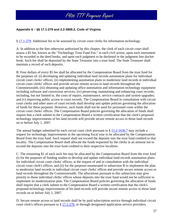#### **Appendix 6 – §§ 17.1-279 and 2.2-3808.2, Code of Virginia**

§ 17.1-279. Additional fee to be assessed by circuit court clerks for information technology.

A. In addition to the fees otherwise authorized by this chapter, the clerk of each circuit court shall assess a \$5 fee, known as the "Technology Trust Fund Fee," in each civil action, upon each instrument to be recorded in the deed books, and upon each judgment to be docketed in the judgment lien docket book. Such fee shall be deposited by the State Treasurer into a trust fund. The State Treasurer shall maintain a record of such deposits.

B. Four dollars of every \$5 fee shall be allocated by the Compensation Board from the trust fund for the purposes of: (i) developing and updating individual land records automation plans for individual circuit court clerks' offices; (ii) implementing automation plans to modernize land records in individual circuit court clerks' offices and provide secure remote access to land records throughout the Commonwealth; (iii) obtaining and updating office automation and information technology equipment including software and conversion services; (iv) preserving, maintaining and enhancing court records, including, but not limited to, the costs of repairs, maintenance, service contracts and system upgrades; and (v) improving public access to court records. The Compensation Board in consultation with circuit court clerks and other users of court records shall develop and update policies governing the allocation of funds for these purposes. However, such funds shall not be used for personnel costs within the circuit court clerks' offices. The Compensation Board policies governing the allocation of funds shall require that a clerk submit to the Compensation Board a written certification that the clerk's proposed technology improvements of his land records will provide secure remote access to those land records on or before July 1, 2007.

The annual budget submitted by each circuit court clerk pursuant to  $\S 15.2 - 1636.7$  may include a request for technology improvements in the upcoming fiscal year to be allocated by the Compensation Board from the trust fund. Such request shall not exceed the deposits into the trust fund credited to that locality. The Compensation Board shall allocate the funds requested by the clerks in an amount not to exceed the deposits into the trust fund credited to their respective localities.

C. The remaining \$1 of each such fee may be allocated by the Compensation Board from the trust fund (i) for the purposes of funding studies to develop and update individual land-records automation plans for individual circuit court clerks' offices, at the request of and in consultation with the individual circuit court clerk's offices, and (ii) for the purposes enumerated in subsection B to implement the plan to modernize land records in individual circuit court clerks' offices and provide secure remote access to land records throughout the Commonwealth. The allocations pursuant to this subsection may give priority to those individual clerks' offices whose deposits into the trust fund would not be sufficient to implement its modernization plan. The Compensation Board policies governing the allocation of funds shall require that a clerk submit to the Compensation Board a written certification that the clerk's proposed technology improvements of his land records will provide secure remote access to those land records on or before July 1, 2007.

D. Secure remote access to land records shall be by paid subscription service through individual circuit court clerk's offices pursuant to § 17.1-276, or through designated application service providers.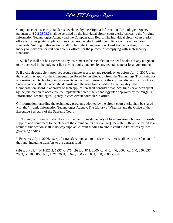Compliance with security standards developed by the Virginia Information Technologies Agency pursuant to § 2.2-3808.2 shall be certified by the individual circuit court clerks' offices to the Virginia Information Technologies Agency and the Compensation Board. The individual circuit court clerk's office or its designated application service provider shall certify compliance with such security standards. Nothing in this section shall prohibit the Compensation Board from allocating trust fund money to individual circuit court clerks' offices for the purpose of complying with such security standards.

E. Such fee shall not be assessed to any instrument to be recorded in the deed books nor any judgment to be docketed in the judgment lien docket books tendered by any federal, state or local government.

F. If a circuit court clerk provides secure remote access to land records on or before July 1, 2007, then that clerk may apply to the Compensation Board for an allocation from the Technology Trust Fund for automation and technology improvements in the civil divisions, or the criminal division, of his office. Such request shall not exceed the deposits into the trust fund credited to that locality. The Compensation Board in approval of such application shall consider what local funds have been spent by the jurisdiction to accelerate the implementation of the technology plan approved by the Virginia Information Technologies Agency in each circuit court clerk's office.

G. Information regarding the technology programs adopted by the circuit court clerks shall be shared with the Virginia Information Technologies Agency, The Library of Virginia, and the Office of the Executive Secretary of the Supreme Court.

H. Nothing in this section shall be construed to diminish the duty of local governing bodies to furnish supplies and equipment to the clerks of the circuit courts pursuant to  $\S 15.2$ -1656. Revenue raised as a result of this section shall in no way supplant current funding to circuit court clerks' offices by local governing bodies.

I. Effective July 1, 2006, except for transfers pursuant to this section, there shall be no transfers out of the fund, including transfers to the general fund.

(1996, c. 431, § 14.1-125.2; 1997, c. 675; 1998, c. 872; 2000, cc. 440, 446; 2002, cc. 140, 250, 637; 2003, cc. 205, 865, 981, 1021; 2004, c. 676; 2005, cc. 681, 738; 2006, c. 647.)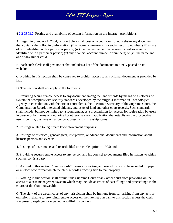§ 2.2-3808.2. Posting and availability of certain information on the Internet; prohibitions.

A. Beginning January 1, 2004, no court clerk shall post on a court-controlled website any document that contains the following information: (i) an actual signature; (ii) a social security number; (iii) a date of birth identified with a particular person; (iv) the maiden name of a person's parent so as to be identified with a particular person; (v) any financial account number or numbers; or (vi) the name and age of any minor child.

B. Each such clerk shall post notice that includes a list of the documents routinely posted on its website.

C. Nothing in this section shall be construed to prohibit access to any original document as provided by law.

D. This section shall not apply to the following:

1. Providing secure remote access to any document among the land records by means of a network or system that complies with security standards developed by the Virginia Information Technologies Agency in consultation with the circuit court clerks, the Executive Secretary of the Supreme Court, the Compensation Board, interested citizens, and users of land and other court records. Such standards shall include, but not be limited to, a requirement, as a precondition for access, for registration by users in person or by means of a notarized or otherwise sworn application that establishes the prospective user's identity, business or residence address, and citizenship status;

2. Postings related to legitimate law-enforcement purposes;

3. Postings of historical, genealogical, interpretive, or educational documents and information about historic persons and events;

4. Postings of instruments and records filed or recorded prior to 1905; and

5. Providing secure remote access to any person and his counsel to documents filed in matters to which such person is a party.

E. As used in this section, "land records" means any writing authorized by law to be recorded on paper or in electronic format which the clerk records affecting title to real property.

F. Nothing in this section shall prohibit the Supreme Court or any other court from providing online access to a case management system which may include abstracts of case filings and proceedings in the courts of the Commonwealth.

G. The clerk of the circuit court of any jurisdiction shall be immune from suit arising from any acts or omissions relating to providing remote access on the Internet pursuant to this section unless the clerk was grossly negligent or engaged in willful misconduct.